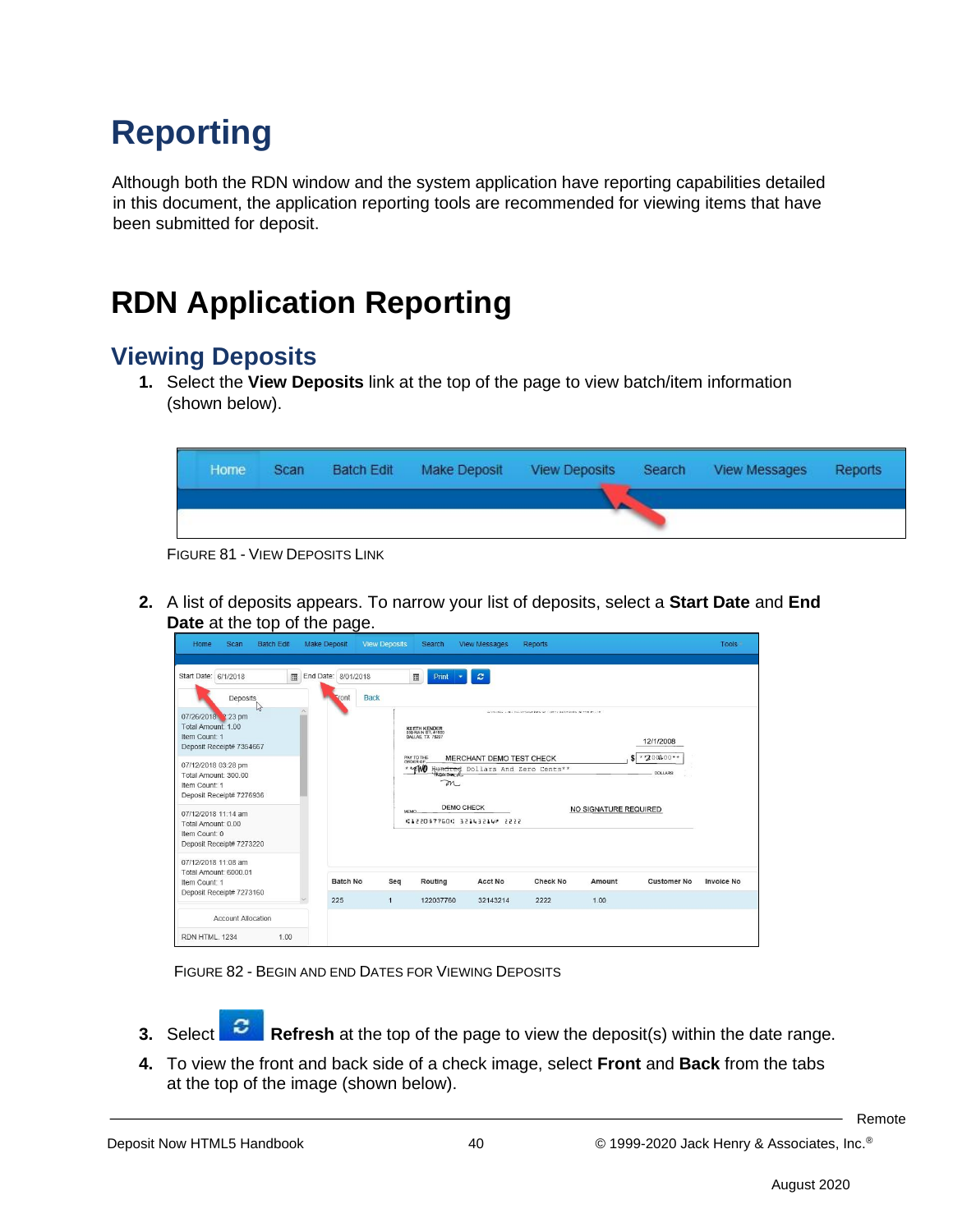# **Reporting**

Although both the RDN window and the system application have reporting capabilities detailed in this document, the application reporting tools are recommended for viewing items that have been submitted for deposit.

## **RDN Application Reporting**

#### **Viewing Deposits**

**1.** Select the **View Deposits** link at the top of the page to view batch/item information (shown below).

| Home | <b>Scan</b> | <b>Batch Edit</b> | Make Deposit | <b>View Deposits</b> | Search | View Messages | Reports |
|------|-------------|-------------------|--------------|----------------------|--------|---------------|---------|
|      |             |                   |              |                      |        |               |         |

FIGURE 81 - VIEW DEPOSITS LINK

**2.** A list of deposits appears. To narrow your list of deposits, select a **Start Date** and **End Date** at the top of the page.

| <b>Batch Edit</b><br>Home<br>Scan                                                                                                                                                                         |      | Make Deposit                | <b>View Deposits</b> | Search                                                                                                                             | <b>View Messages</b>                                                             | <b>Reports</b>                                                   |                       |                                            | <b>Tools</b>      |
|-----------------------------------------------------------------------------------------------------------------------------------------------------------------------------------------------------------|------|-----------------------------|----------------------|------------------------------------------------------------------------------------------------------------------------------------|----------------------------------------------------------------------------------|------------------------------------------------------------------|-----------------------|--------------------------------------------|-------------------|
| Start Date: 6/1/2018<br>Deposits<br>$h_{\sigma}$<br>07/26/2018 2:23 pm<br>Total Amount: 1.00<br>Item Count: 1<br>Deposit Receipt# 7354667<br>07/12/2018 03:28 pm<br>Total Amount: 300.00<br>Item Count: 1 | 圓    | End Date: 8/01/2018<br>ront | <b>Back</b>          | 圓<br>Print<br>KEETH KENDER<br>500 MAIN ST. #1000<br>DALLAS, TX 75207<br>PAY TO THE<br>ORDER OF<br>* PWB<br><b>KOULD BY AT</b><br>m | $\boldsymbol{c}$<br>MERCHANT DEMO TEST CHECK<br>Hundred Dollars And Zero Cents** | Williams L. B. Co. (mast edg wr contrast exhibits with the court |                       | 12/1/2008<br>** 200400**<br><b>DOLLARS</b> |                   |
| Deposit Receipt# 7276936<br>07/12/2018 11:14 am<br>Total Amount: 0.00<br>Item Count: 0<br>Deposit Receipt# 7273220                                                                                        |      |                             | <b>MFMC</b>          |                                                                                                                                    | <b>DEMO CHECK</b><br>41220377604 32143214 2222                                   |                                                                  | NO SIGNATURE REQUIRED |                                            |                   |
| 07/12/2018 11:08 am<br>Total Amount: 6000.01<br>Item Count: 1<br>Deposit Receipt# 7273160                                                                                                                 |      | <b>Batch No</b>             | Seq                  | Routing                                                                                                                            | <b>Acct No</b>                                                                   | <b>Check No</b>                                                  | Amount                | <b>Customer No</b>                         | <b>Invoice No</b> |
| <b>Account Allocation</b><br>RDN HTML, 1234                                                                                                                                                               | 1.00 | 225                         | $\mathbf{1}$         | 122037760                                                                                                                          | 32143214                                                                         | 2222                                                             | 1.00                  |                                            |                   |

FIGURE 82 - BEGIN AND END DATES FOR VIEWING DEPOSITS

- **3.** Select **Refresh** at the top of the page to view the deposit(s) within the date range.
- **4.** To view the front and back side of a check image, select **Front** and **Back** from the tabs at the top of the image (shown below).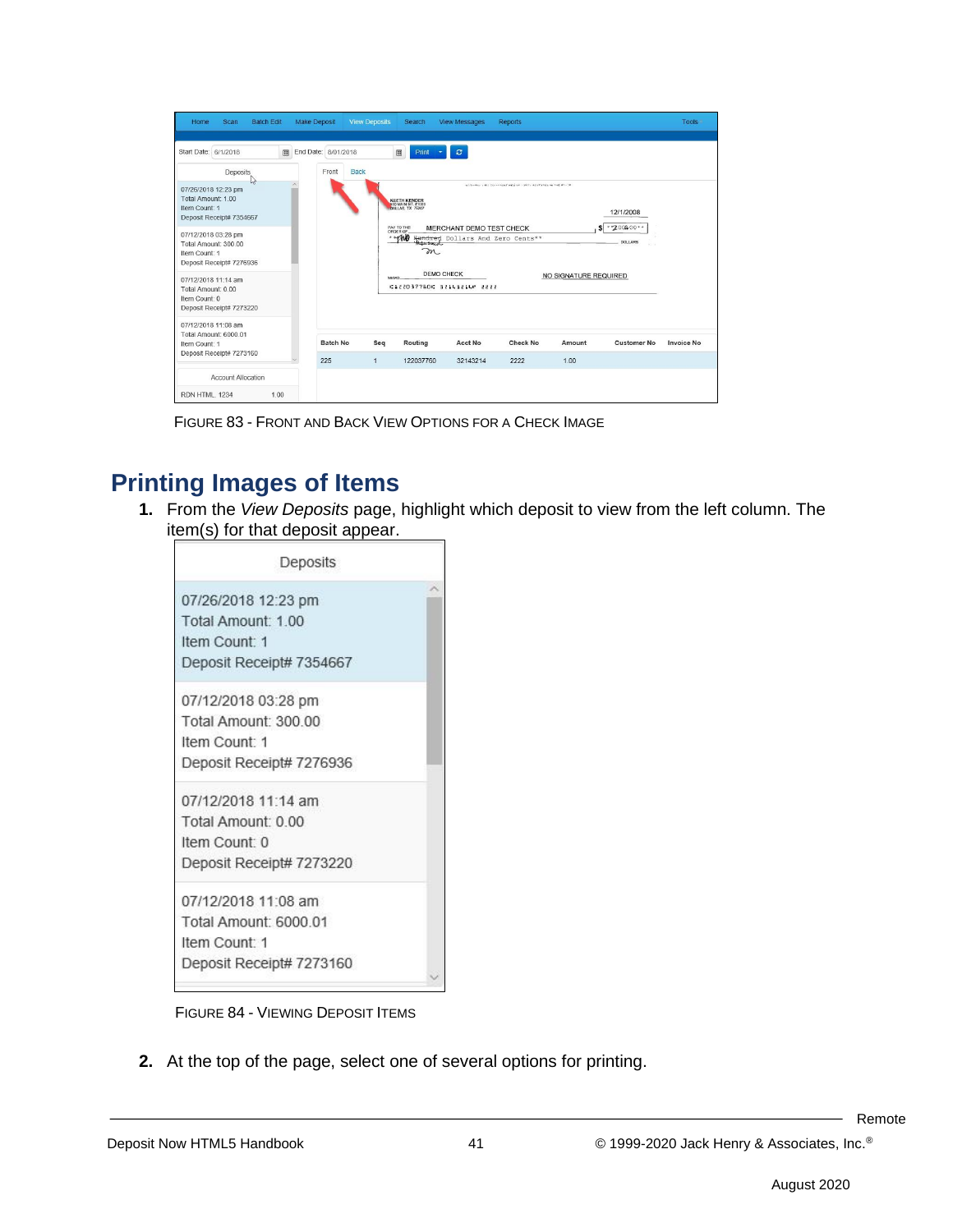| Scan<br><b>Batch Edit</b><br>Home                                                                                                                                                                                                                                                                                       |      | Make Deposit                 | <b>View Deposits</b> | Search                                                                                                                              | <b>View Messages</b>                                                                                      | <b>Reports</b>                                           |                            |                                             | Tools             |
|-------------------------------------------------------------------------------------------------------------------------------------------------------------------------------------------------------------------------------------------------------------------------------------------------------------------------|------|------------------------------|----------------------|-------------------------------------------------------------------------------------------------------------------------------------|-----------------------------------------------------------------------------------------------------------|----------------------------------------------------------|----------------------------|---------------------------------------------|-------------------|
| Start Date: 6/1/2018<br>Deposits<br>ry,<br>07/26/2018 12:23 pm<br>Total Amount: 1.00<br>Item Count: 1<br>Deposit Receipt# 7354667<br>07/12/2018 03:28 pm<br>Total Amount: 300.00<br>Item Count: 1<br>Deposit Receipt# 7276936<br>07/12/2018 11:14 am<br>Total Amount: 0.00<br>Item Count: 0<br>Deposit Receipt# 7273220 | 圖    | End Date: 8/01/2018<br>Front | <b>Back</b><br>MEMO. | 圓<br>Print<br>KEETH KENDER<br>600 MAIN ST. #1000<br>DALLAS TX 75207<br>PAY TO THE<br>ORDER OF<br>$+$ $pW$<br>m<br><b>DEMO CHECK</b> | $\mathbf{c}$<br>MERCHANT DEMO TEST CHECK<br>Hundred Dollars And Zero Cents**<br>41220377604 32143214 2222 | without a discussion and you court approach in the as-or | s<br>NO SIGNATURE REQUIRED | 12/1/2008<br>** 2000.00**<br><b>DOLLARS</b> |                   |
| 07/12/2018 11:08 am<br>Total Amount: 6000.01<br>Item Count: 1<br>Deposit Receipt# 7273160                                                                                                                                                                                                                               |      | <b>Batch No</b><br>225       | Seq<br>$\mathbf{1}$  | Routing<br>122037760                                                                                                                | Acct No<br>32143214                                                                                       | <b>Check No</b><br>2222                                  | Amount<br>1.00             | <b>Customer No</b>                          | <b>Invoice No</b> |
| <b>Account Allocation</b>                                                                                                                                                                                                                                                                                               |      |                              |                      |                                                                                                                                     |                                                                                                           |                                                          |                            |                                             |                   |
| RDN HTML, 1234                                                                                                                                                                                                                                                                                                          | 1.00 |                              |                      |                                                                                                                                     |                                                                                                           |                                                          |                            |                                             |                   |

FIGURE 83 - FRONT AND BACK VIEW OPTIONS FOR A CHECK IMAGE

#### **Printing Images of Items**

**1.** From the *View Deposits* page, highlight which deposit to view from the left column. The item(s) for that deposit appear.

| Deposits                 |  |
|--------------------------|--|
| 07/26/2018 12:23 pm      |  |
| Total Amount: 1.00       |  |
| Item Count: 1            |  |
| Deposit Receipt# 7354667 |  |
| 07/12/2018 03:28 pm      |  |
| Total Amount: 300.00     |  |
| Item Count: 1            |  |
| Deposit Receipt# 7276936 |  |
| 07/12/2018 11:14 am      |  |
| Total Amount: 0.00       |  |
| Item Count: 0            |  |
| Deposit Receipt# 7273220 |  |
| 07/12/2018 11:08 am      |  |
| Total Amount: 6000 01    |  |
| Item Count: 1            |  |
| Deposit Receipt# 7273160 |  |

FIGURE 84 - VIEWING DEPOSIT ITEMS

**2.** At the top of the page, select one of several options for printing.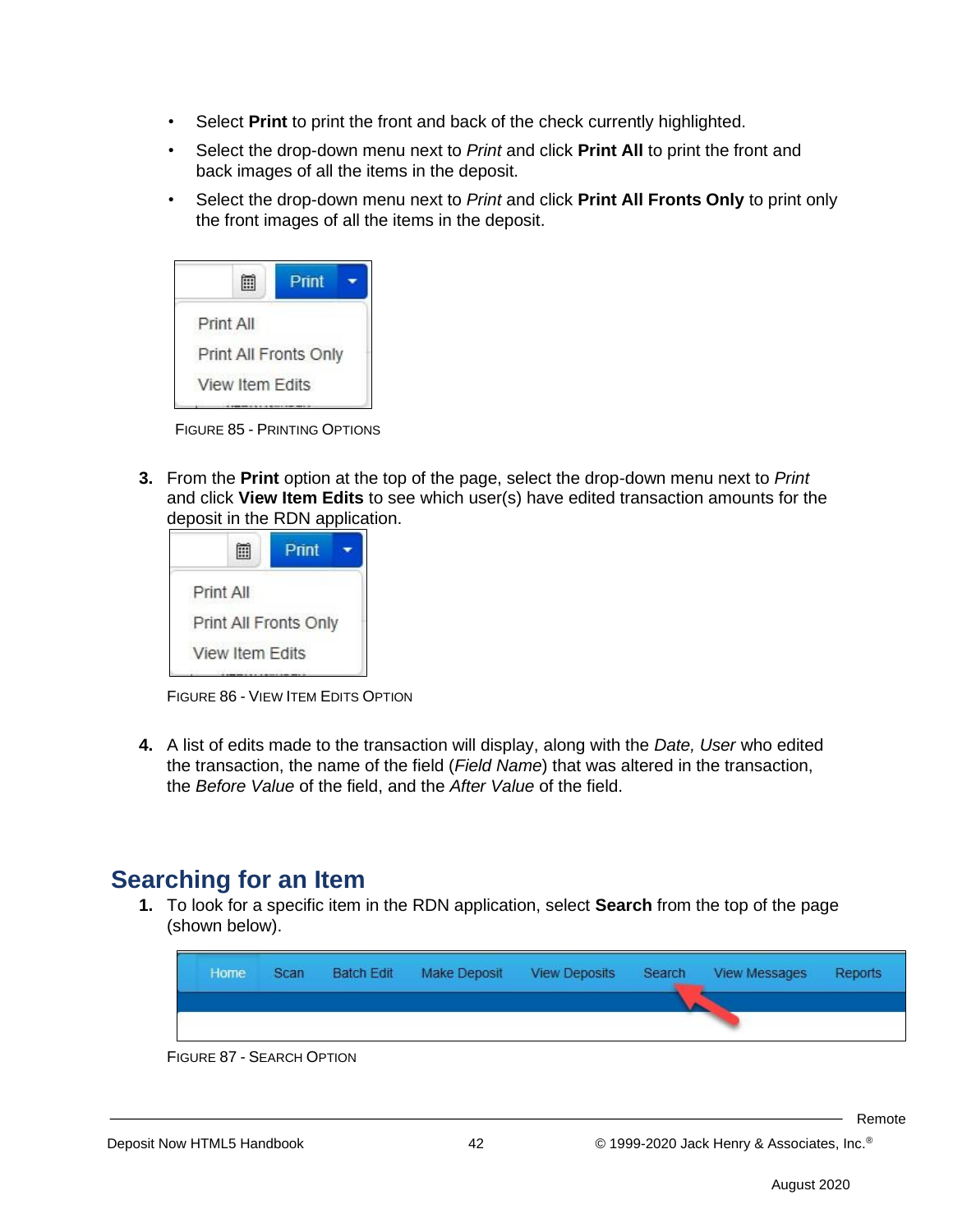- Select **Print** to print the front and back of the check currently highlighted.
- Select the drop-down menu next to *Print* and click **Print All** to print the front and back images of all the items in the deposit.
- Select the drop-down menu next to *Print* and click **Print All Fronts Only** to print only the front images of all the items in the deposit.

|                       | Print |  |
|-----------------------|-------|--|
| Print All             |       |  |
| Print All Fronts Only |       |  |
| View Item Edits       |       |  |
|                       |       |  |

FIGURE 85 - PRINTING OPTIONS

**3.** From the **Print** option at the top of the page, select the drop-down menu next to *Print* and click **View Item Edits** to see which user(s) have edited transaction amounts for the deposit in the RDN application.

|           | Print |                                          |
|-----------|-------|------------------------------------------|
| Print All |       |                                          |
|           |       |                                          |
|           |       |                                          |
|           |       | Print All Fronts Only<br>View Item Edits |

FIGURE 86 - VIEW ITEM EDITS OPTION

**4.** A list of edits made to the transaction will display, along with the *Date, User* who edited the transaction, the name of the field (*Field Name*) that was altered in the transaction, the *Before Value* of the field, and the *After Value* of the field.

#### **Searching for an Item**

**1.** To look for a specific item in the RDN application, select **Search** from the top of the page (shown below).

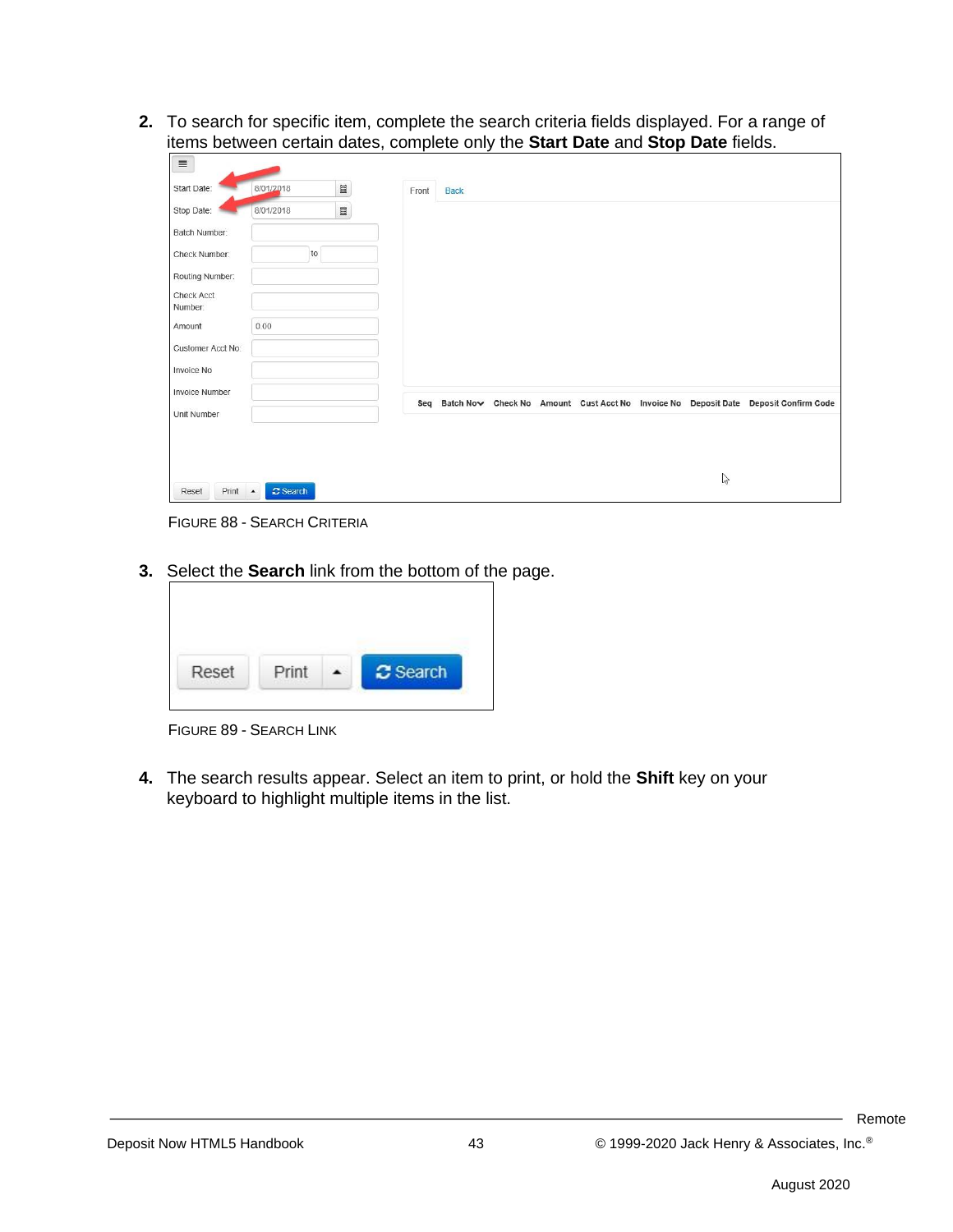**2.** To search for specific item, complete the search criteria fields displayed. For a range of items between certain dates, complete only the **Start Date** and **Stop Date** fields.

| $\equiv$              |                                             |                          |       |             |  |  |              |                                                                                         |
|-----------------------|---------------------------------------------|--------------------------|-------|-------------|--|--|--------------|-----------------------------------------------------------------------------------------|
| Start Date:           | 8/01/2018                                   | $\qquad \qquad \boxplus$ | Front | <b>Back</b> |  |  |              |                                                                                         |
| Stop Date:            | 8/01/2018                                   | $\blacksquare$           |       |             |  |  |              |                                                                                         |
| Batch Number:         |                                             |                          |       |             |  |  |              |                                                                                         |
| Check Number:         | to                                          |                          |       |             |  |  |              |                                                                                         |
| Routing Number:       |                                             |                          |       |             |  |  |              |                                                                                         |
| Check Acct<br>Number: |                                             |                          |       |             |  |  |              |                                                                                         |
| Amount                | 0.00                                        |                          |       |             |  |  |              |                                                                                         |
| Customer Acct No:     |                                             |                          |       |             |  |  |              |                                                                                         |
| Invoice No            |                                             |                          |       |             |  |  |              |                                                                                         |
| <b>Invoice Number</b> |                                             |                          |       |             |  |  |              |                                                                                         |
| Unit Number           |                                             |                          |       |             |  |  |              | Seq Batch Now Check No Amount Cust Acct No Invoice No Deposit Date Deposit Confirm Code |
|                       |                                             |                          |       |             |  |  |              |                                                                                         |
| Print<br>Reset        | <b>C</b> Search<br>$\overline{\phantom{a}}$ |                          |       |             |  |  | $\mathbb{Z}$ |                                                                                         |
|                       |                                             |                          |       |             |  |  |              |                                                                                         |

FIGURE 88 - SEARCH CRITERIA

**3.** Select the **Search** link from the bottom of the page.

| Reset | Print | C Search |
|-------|-------|----------|

FIGURE 89 - SEARCH LINK

**4.** The search results appear. Select an item to print, or hold the **Shift** key on your keyboard to highlight multiple items in the list.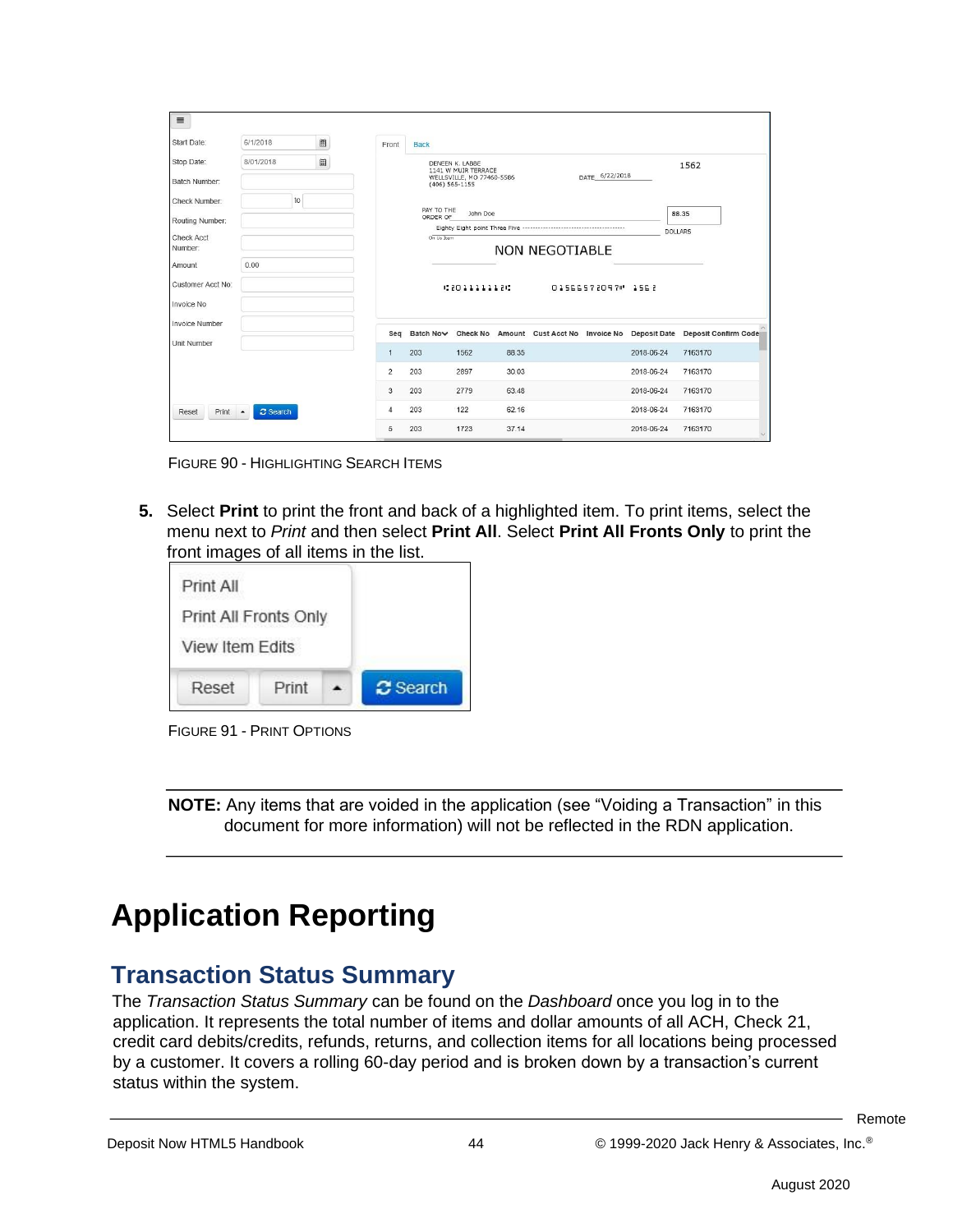| Start Date:                      | 6/1/2018                                    | 圖 | Front        | <b>Back</b>            |                                                                     |       |                                                                                |                  |                |                                   |
|----------------------------------|---------------------------------------------|---|--------------|------------------------|---------------------------------------------------------------------|-------|--------------------------------------------------------------------------------|------------------|----------------|-----------------------------------|
| Stop Date:<br>Batch Number:      | 8/01/2018                                   | 圃 |              | $(406)$ 565-1155       | DENEEN K. LABBE<br>1141 W MUIR TERRACE<br>WELLSVILLE, MO 77460-5586 |       |                                                                                | DATE 6/22/2018   |                | 1562                              |
| Check Number:<br>Routing Number: | to                                          |   |              | PAY TO THE<br>ORDER OF | John Doe                                                            |       |                                                                                |                  |                | 88.35                             |
| <b>Check Acct</b><br>Number:     |                                             |   |              | On Us Item             |                                                                     |       | Eighty Eight point Three Five ------------------------------<br>NON NEGOTIABLE |                  | <b>DOLLARS</b> |                                   |
| Amount                           | 0.00                                        |   |              |                        |                                                                     |       |                                                                                |                  |                |                                   |
| Customer Acct No:                |                                             |   |              |                        | 48011111184                                                         |       |                                                                                | 01566572097 1562 |                |                                   |
| Invoice No                       |                                             |   |              |                        |                                                                     |       |                                                                                |                  |                |                                   |
| <b>Invoice Number</b>            |                                             |   | Seq          |                        |                                                                     |       | Batch Now Check No Amount Cust Acct No Invoice No                              |                  |                | Deposit Date Deposit Confirm Code |
| Unit Number                      |                                             |   | $\mathbf{1}$ | 203                    | 1562                                                                | 88.35 |                                                                                |                  | 2018-06-24     | 7163170                           |
|                                  |                                             |   | 2            | 203                    | 2897                                                                | 30.03 |                                                                                |                  | 2018-06-24     | 7163170                           |
|                                  |                                             |   | 3            | 203                    | 2779                                                                | 63.48 |                                                                                |                  | 2018-06-24     | 7163170                           |
| Print<br>Reset                   | <b>C</b> Search<br>$\overline{\phantom{a}}$ |   | 4            | 203                    | 122                                                                 | 62.16 |                                                                                |                  | 2018-06-24     | 7163170                           |
|                                  |                                             |   | 5            | 203                    | 1723                                                                | 37.14 |                                                                                |                  | 2018-06-24     | 7163170                           |

FIGURE 90 - HIGHLIGHTING SEARCH ITEMS

**5.** Select **Print** to print the front and back of a highlighted item. To print items, select the menu next to *Print* and then select **Print All**. Select **Print All Fronts Only** to print the front images of all items in the list.

| Print All             |       |                 |
|-----------------------|-------|-----------------|
| Print All Fronts Only |       |                 |
| View Item Edits       |       |                 |
| Reset                 | Print | <b>2</b> Search |



**NOTE:** Any items that are voided in the application (see "Voiding a Transaction" in this document for more information) will not be reflected in the RDN application.

## **Application Reporting**

#### **Transaction Status Summary**

The *Transaction Status Summary* can be found on the *Dashboard* once you log in to the application. It represents the total number of items and dollar amounts of all ACH, Check 21, credit card debits/credits, refunds, returns, and collection items for all locations being processed by a customer. It covers a rolling 60-day period and is broken down by a transaction's current status within the system.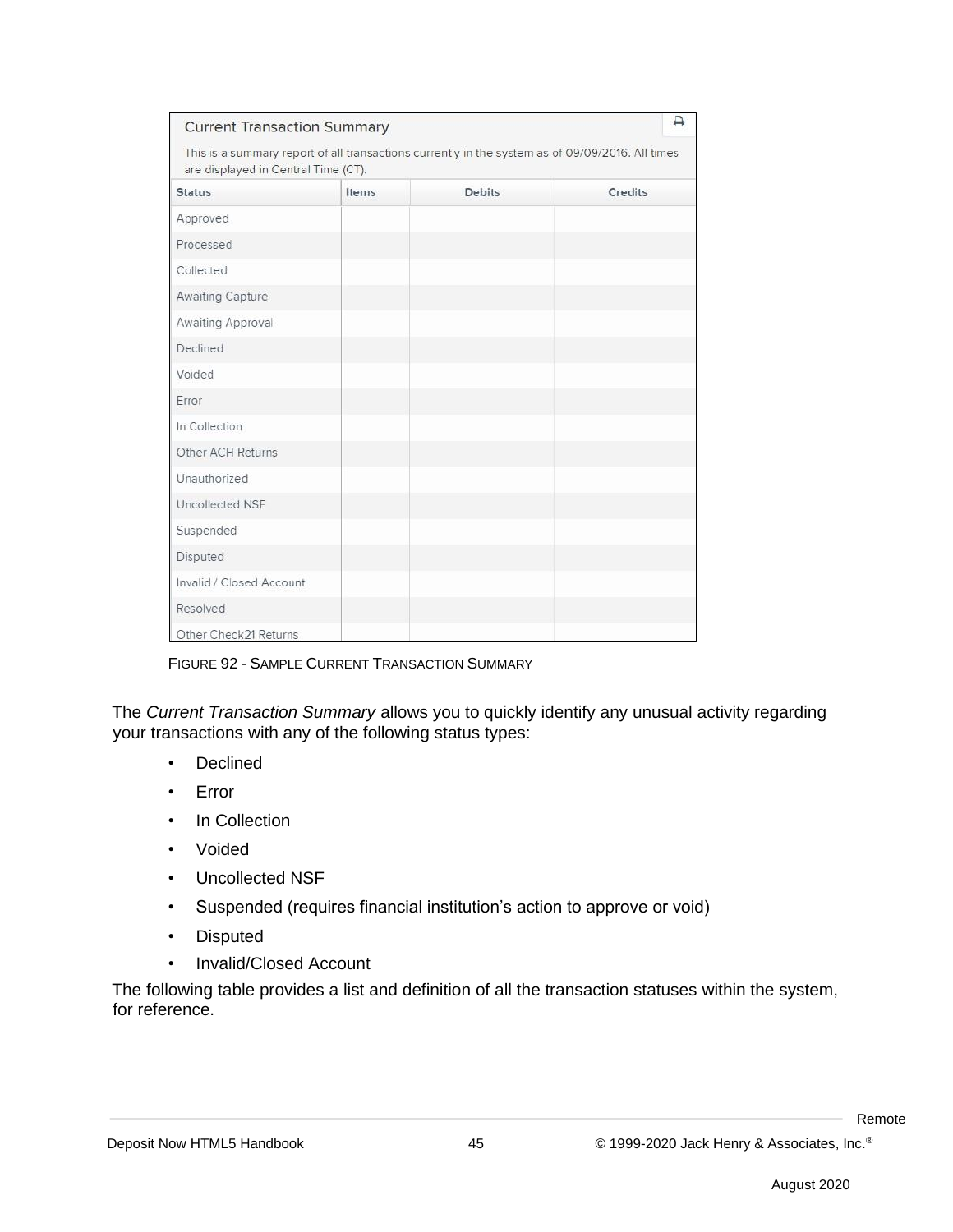| <b>Current Transaction Summary</b>                                                                                                      |       |               | ₿       |
|-----------------------------------------------------------------------------------------------------------------------------------------|-------|---------------|---------|
| This is a summary report of all transactions currently in the system as of 09/09/2016. All times<br>are displayed in Central Time (CT). |       |               |         |
| <b>Status</b>                                                                                                                           | Items | <b>Debits</b> | Credits |
| Approved                                                                                                                                |       |               |         |
| Processed                                                                                                                               |       |               |         |
| Collected                                                                                                                               |       |               |         |
| Awaiting Capture                                                                                                                        |       |               |         |
| Awaiting Approval                                                                                                                       |       |               |         |
| Declined                                                                                                                                |       |               |         |
| Voided                                                                                                                                  |       |               |         |
| Error                                                                                                                                   |       |               |         |
| In Collection                                                                                                                           |       |               |         |
| Other ACH Returns                                                                                                                       |       |               |         |
| Unauthorized                                                                                                                            |       |               |         |
| Uncollected NSF                                                                                                                         |       |               |         |
| Suspended                                                                                                                               |       |               |         |
| Disputed                                                                                                                                |       |               |         |
| Invalid / Closed Account                                                                                                                |       |               |         |
| Resolved                                                                                                                                |       |               |         |
| Other Check21 Returns                                                                                                                   |       |               |         |

FIGURE 92 - SAMPLE CURRENT TRANSACTION SUMMARY

The *Current Transaction Summary* allows you to quickly identify any unusual activity regarding your transactions with any of the following status types:

- Declined
- Error
- In Collection
- Voided
- Uncollected NSF
- Suspended (requires financial institution's action to approve or void)
- Disputed
- Invalid/Closed Account

The following table provides a list and definition of all the transaction statuses within the system, for reference.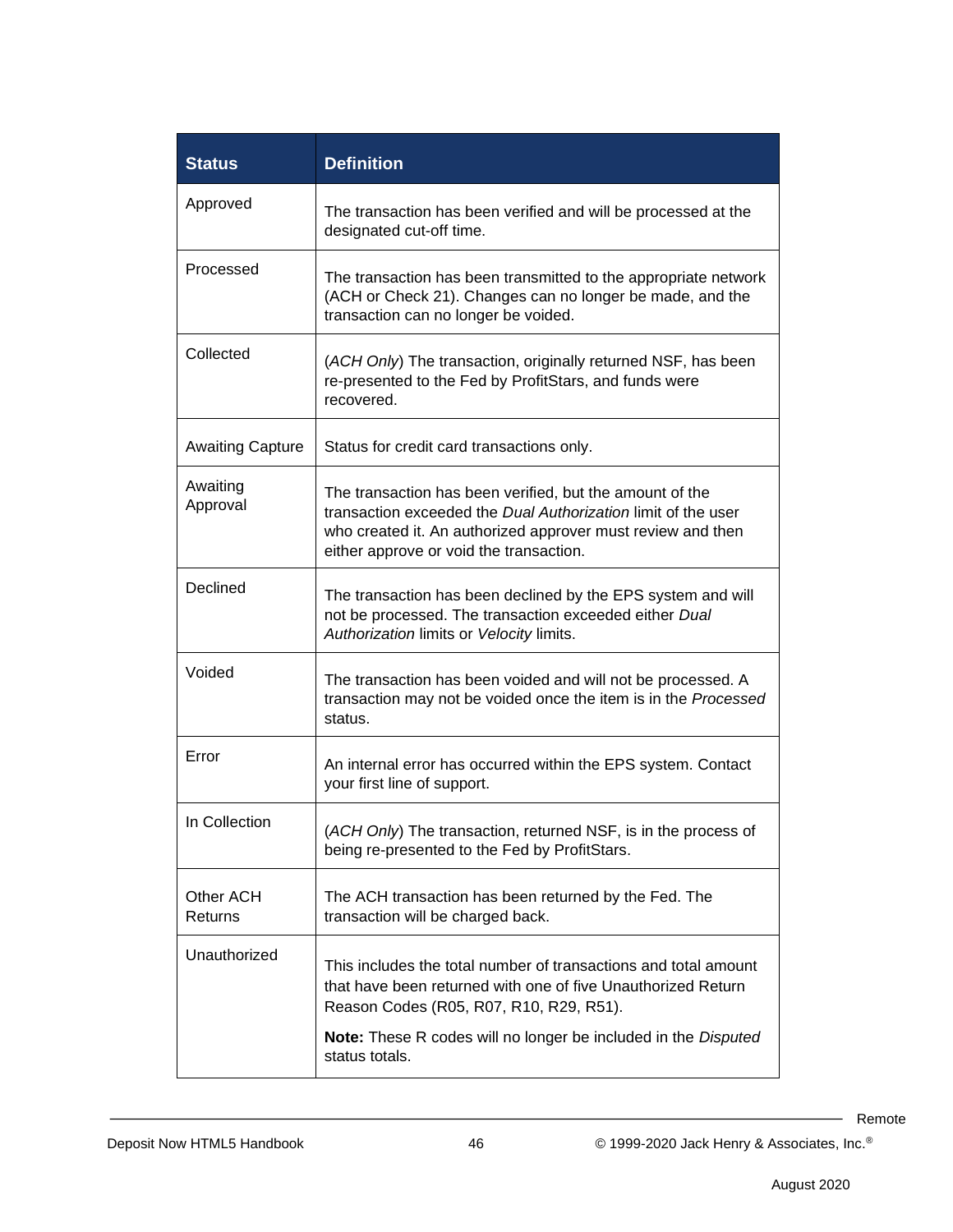| <b>Status</b>           | <b>Definition</b>                                                                                                                                                                                                                   |
|-------------------------|-------------------------------------------------------------------------------------------------------------------------------------------------------------------------------------------------------------------------------------|
| Approved                | The transaction has been verified and will be processed at the<br>designated cut-off time.                                                                                                                                          |
| Processed               | The transaction has been transmitted to the appropriate network<br>(ACH or Check 21). Changes can no longer be made, and the<br>transaction can no longer be voided.                                                                |
| Collected               | (ACH Only) The transaction, originally returned NSF, has been<br>re-presented to the Fed by ProfitStars, and funds were<br>recovered.                                                                                               |
| <b>Awaiting Capture</b> | Status for credit card transactions only.                                                                                                                                                                                           |
| Awaiting<br>Approval    | The transaction has been verified, but the amount of the<br>transaction exceeded the Dual Authorization limit of the user<br>who created it. An authorized approver must review and then<br>either approve or void the transaction. |
| Declined                | The transaction has been declined by the EPS system and will<br>not be processed. The transaction exceeded either Dual<br>Authorization limits or Velocity limits.                                                                  |
| Voided                  | The transaction has been voided and will not be processed. A<br>transaction may not be voided once the item is in the Processed<br>status.                                                                                          |
| Error                   | An internal error has occurred within the EPS system. Contact<br>your first line of support.                                                                                                                                        |
| In Collection           | (ACH Only) The transaction, returned NSF, is in the process of<br>being re-presented to the Fed by ProfitStars.                                                                                                                     |
| Other ACH<br>Returns    | The ACH transaction has been returned by the Fed. The<br>transaction will be charged back.                                                                                                                                          |
| Unauthorized            | This includes the total number of transactions and total amount<br>that have been returned with one of five Unauthorized Return<br>Reason Codes (R05, R07, R10, R29, R51).                                                          |
|                         | <b>Note:</b> These R codes will no longer be included in the Disputed<br>status totals.                                                                                                                                             |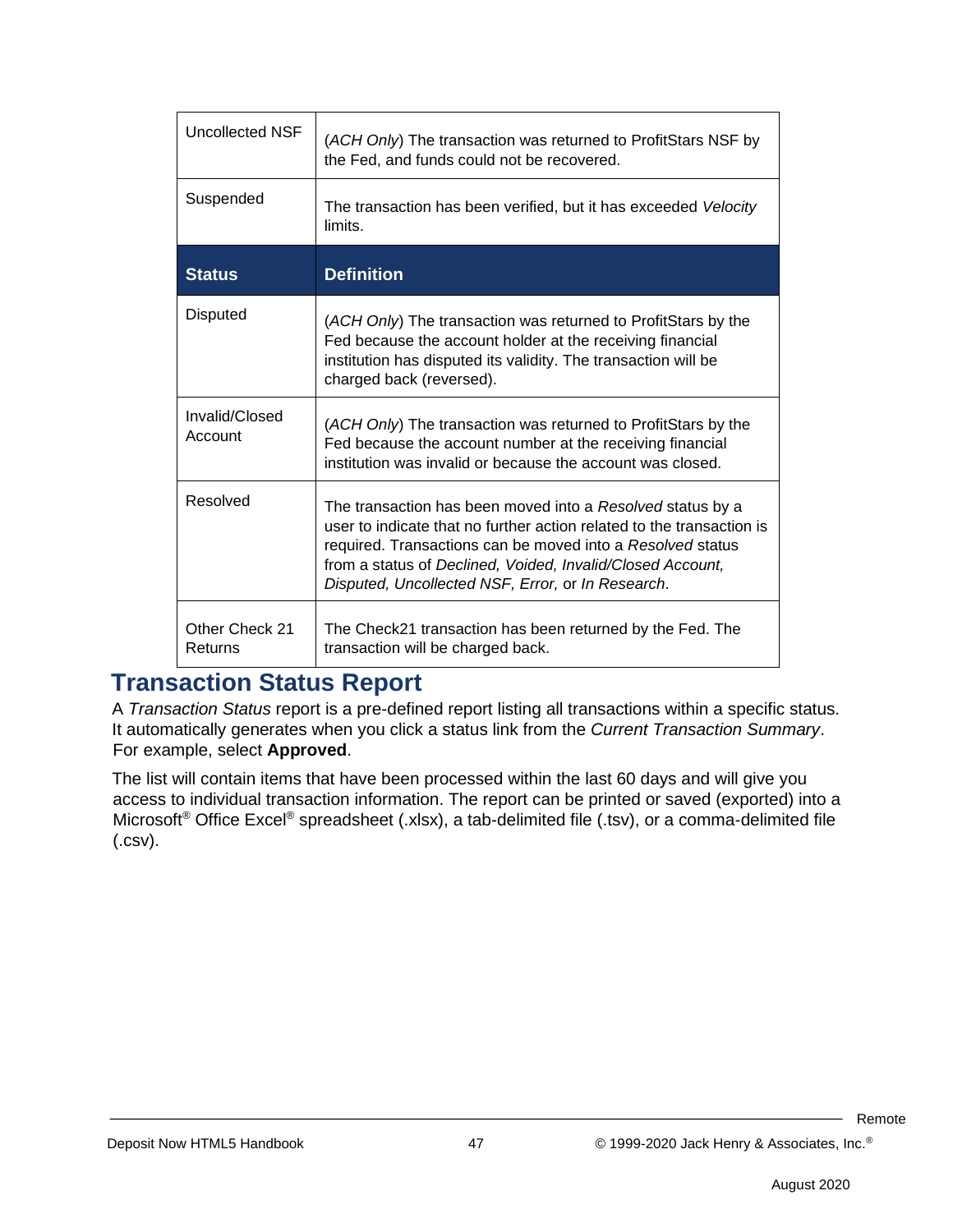| Uncollected NSF           | (ACH Only) The transaction was returned to ProfitStars NSF by<br>the Fed, and funds could not be recovered.                                                                                                                                                                                                          |
|---------------------------|----------------------------------------------------------------------------------------------------------------------------------------------------------------------------------------------------------------------------------------------------------------------------------------------------------------------|
| Suspended                 | The transaction has been verified, but it has exceeded Velocity<br>limits.                                                                                                                                                                                                                                           |
| <b>Status</b>             | <b>Definition</b>                                                                                                                                                                                                                                                                                                    |
| Disputed                  | (ACH Only) The transaction was returned to ProfitStars by the<br>Fed because the account holder at the receiving financial<br>institution has disputed its validity. The transaction will be<br>charged back (reversed).                                                                                             |
| Invalid/Closed<br>Account | (ACH Only) The transaction was returned to ProfitStars by the<br>Fed because the account number at the receiving financial<br>institution was invalid or because the account was closed.                                                                                                                             |
| Resolved                  | The transaction has been moved into a Resolved status by a<br>user to indicate that no further action related to the transaction is<br>required. Transactions can be moved into a Resolved status<br>from a status of Declined, Voided, Invalid/Closed Account,<br>Disputed, Uncollected NSF, Error, or In Research. |
| Other Check 21<br>Returns | The Check21 transaction has been returned by the Fed. The<br>transaction will be charged back.                                                                                                                                                                                                                       |

#### **Transaction Status Report**

A *Transaction Status* report is a pre-defined report listing all transactions within a specific status. It automatically generates when you click a status link from the *Current Transaction Summary*. For example, select **Approved**.

The list will contain items that have been processed within the last 60 days and will give you access to individual transaction information. The report can be printed or saved (exported) into a Microsoft® Office Excel® spreadsheet (.xlsx), a tab-delimited file (.tsv), or a comma-delimited file (.csv).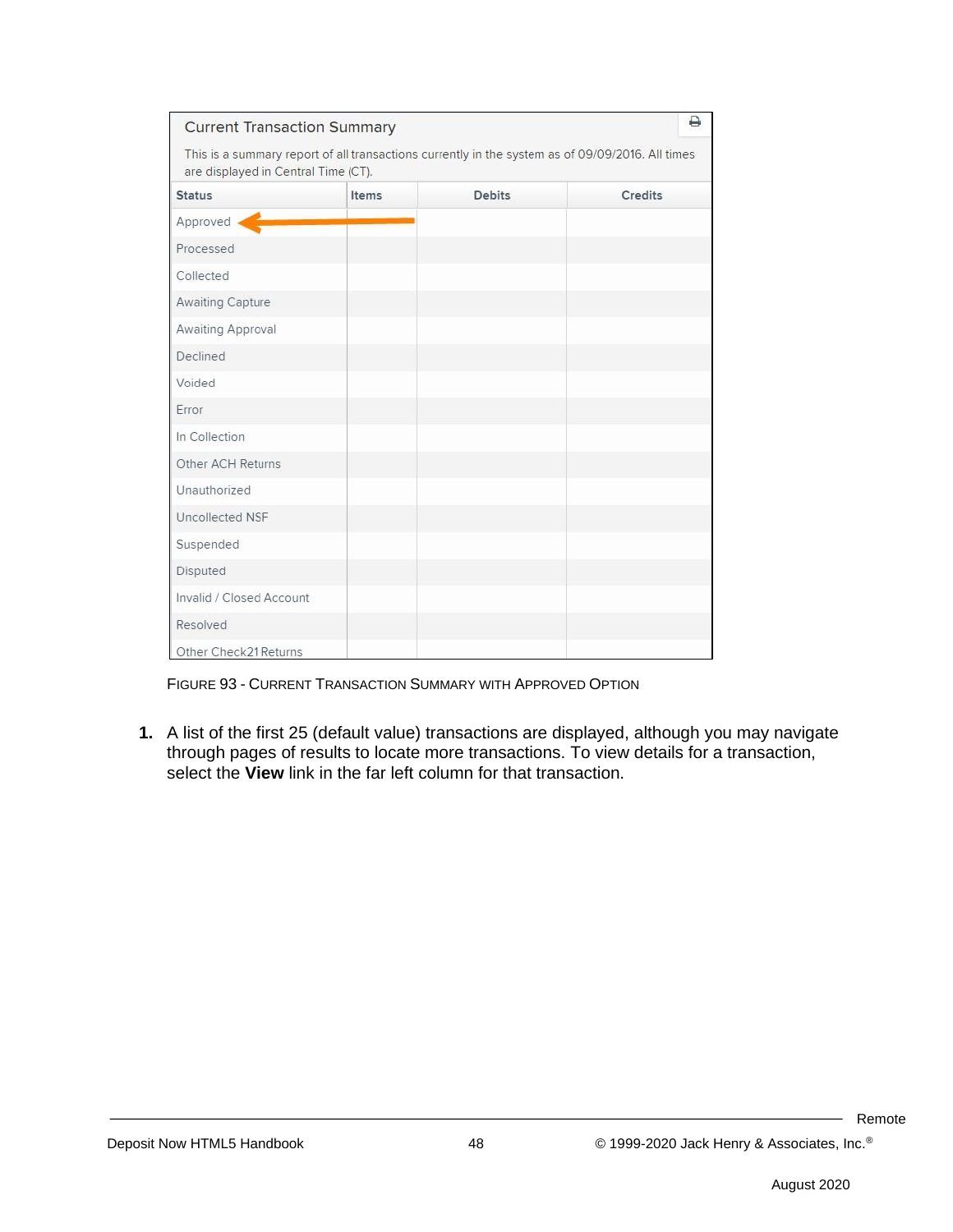| <b>Current Transaction Summary</b>  |       |                                                                                                  | ₿              |
|-------------------------------------|-------|--------------------------------------------------------------------------------------------------|----------------|
| are displayed in Central Time (CT). |       | This is a summary report of all transactions currently in the system as of 09/09/2016. All times |                |
| <b>Status</b>                       | Items | <b>Debits</b>                                                                                    | <b>Credits</b> |
| Approved                            |       |                                                                                                  |                |
| Processed                           |       |                                                                                                  |                |
| Collected                           |       |                                                                                                  |                |
| Awaiting Capture                    |       |                                                                                                  |                |
| Awaiting Approval                   |       |                                                                                                  |                |
| Declined                            |       |                                                                                                  |                |
| Voided                              |       |                                                                                                  |                |
| Error                               |       |                                                                                                  |                |
| In Collection                       |       |                                                                                                  |                |
| Other ACH Returns                   |       |                                                                                                  |                |
| Unauthorized                        |       |                                                                                                  |                |
| Uncollected NSF                     |       |                                                                                                  |                |
| Suspended                           |       |                                                                                                  |                |
| Disputed                            |       |                                                                                                  |                |
| Invalid / Closed Account            |       |                                                                                                  |                |
| Resolved                            |       |                                                                                                  |                |
| Other Check21 Returns               |       |                                                                                                  |                |

FIGURE 93 - CURRENT TRANSACTION SUMMARY WITH APPROVED OPTION

**1.** A list of the first 25 (default value) transactions are displayed, although you may navigate through pages of results to locate more transactions. To view details for a transaction, select the **View** link in the far left column for that transaction.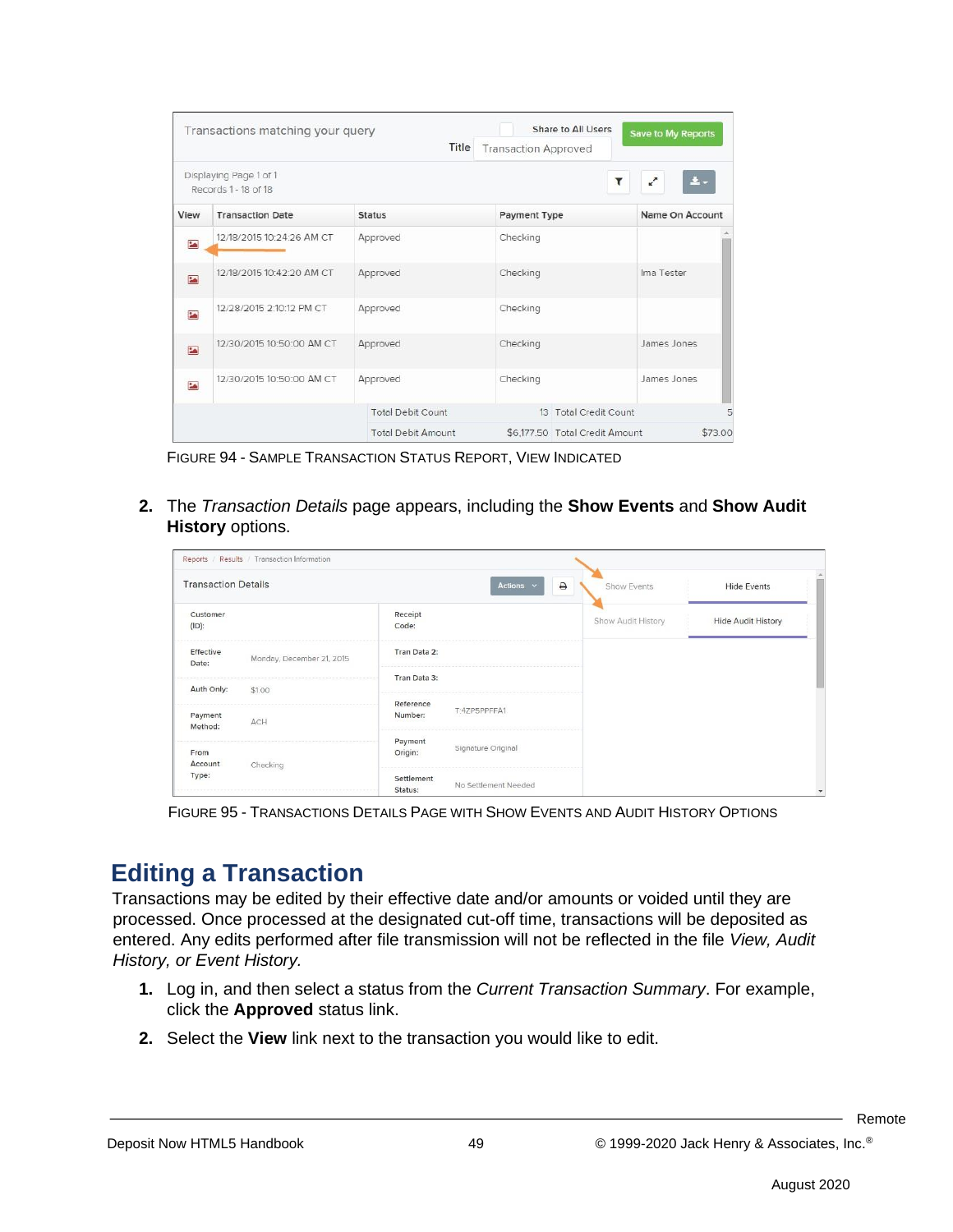|                          | Transactions matching your query               | Title                     | <b>Transaction Approved</b> | Share to All Users             | Save to My Reports               |
|--------------------------|------------------------------------------------|---------------------------|-----------------------------|--------------------------------|----------------------------------|
|                          | Displaying Page 1 of 1<br>Records 1 - 18 of 18 |                           |                             | ۳                              | $\pm$ -<br>$\mathbf{r}^{\prime}$ |
| View                     | <b>Transaction Date</b>                        | <b>Status</b>             | <b>Payment Type</b>         |                                | Name On Account                  |
| <b>MA</b>                | 12/18/2015 10:24:26 AM CT                      | Approved                  | Checking                    |                                |                                  |
| <b>PA</b>                | 12/18/2015 10:42:20 AM CT                      | Approved                  | Checking                    |                                | Ima Tester                       |
| $\overline{\phantom{a}}$ | 12/28/2015 2:10:12 PM CT                       | Approved                  | Checking                    |                                |                                  |
| <b>EA</b>                | 12/30/2015 10:50:00 AM CT                      | Approved                  | Checking                    |                                | James Jones                      |
| <b>MA</b>                | 12/30/2015 10:50:00 AM CT                      | Approved                  | Checking                    |                                | James Jones                      |
|                          |                                                | <b>Total Debit Count</b>  |                             | 13 Total Credit Count          |                                  |
|                          |                                                | <b>Total Debit Amount</b> |                             | \$6.177.50 Total Credit Amount | \$73.00                          |

FIGURE 94 - SAMPLE TRANSACTION STATUS REPORT, VIEW INDICATED

**2.** The *Transaction Details* page appears, including the **Show Events** and **Show Audit History** options.

| Reports / Results / Transaction Information     |                       |                      |                    |                    |
|-------------------------------------------------|-----------------------|----------------------|--------------------|--------------------|
| <b>Transaction Details</b>                      |                       | Actions v<br>₿       | <b>Show Events</b> | <b>Hide Events</b> |
| Customer<br>$(ID)$ :                            | Receipt<br>Code:      |                      | Show Audit History | Hide Audit History |
| Effective<br>Monday, December 21, 2015<br>Date: | Tran Data 2:          |                      |                    |                    |
| Auth Only:<br>\$1.00                            | Tran Data 3:          |                      |                    |                    |
| Payment<br>ACH<br>Method:                       | Reference<br>Number:  | T:4ZP5PPFFA1         |                    |                    |
| From                                            | Payment<br>Origin:    | Signature Original   |                    |                    |
| Account<br>Checking<br>Type:                    | Settlement<br>Status: | No Settlement Needed |                    |                    |

FIGURE 95 - TRANSACTIONS DETAILS PAGE WITH SHOW EVENTS AND AUDIT HISTORY OPTIONS

### **Editing a Transaction**

Transactions may be edited by their effective date and/or amounts or voided until they are processed. Once processed at the designated cut-off time, transactions will be deposited as entered. Any edits performed after file transmission will not be reflected in the file *View, Audit History, or Event History.*

- **1.** Log in, and then select a status from the *Current Transaction Summary*. For example, click the **Approved** status link.
- **2.** Select the **View** link next to the transaction you would like to edit.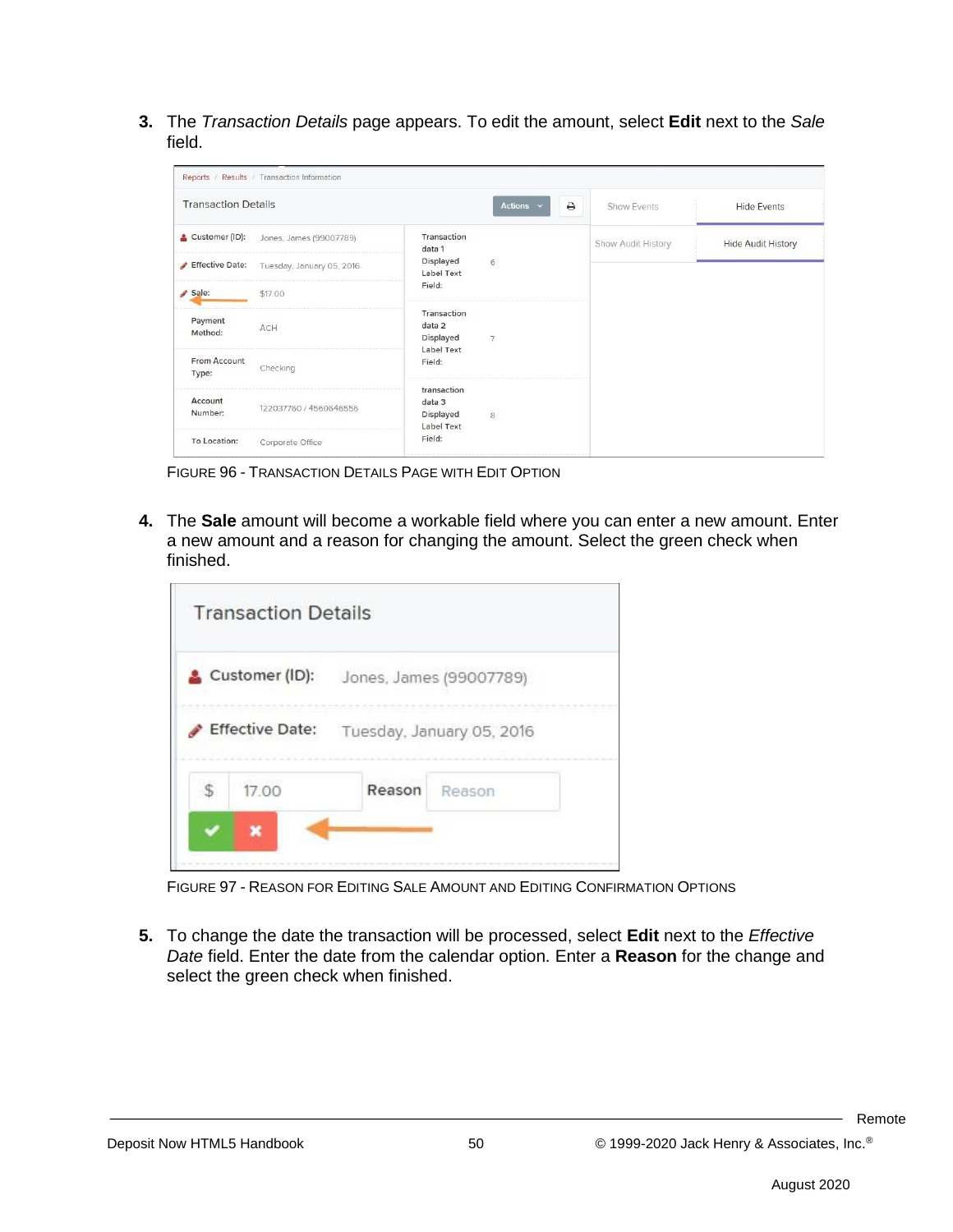**3.** The *Transaction Details* page appears. To edit the amount, select **Edit** next to the *Sale* field.

| <b>Transaction Details</b> |                           |                                                            | Actions $\vee$<br>٥ | Show Events        | <b>Hide Events</b>        |  |  |
|----------------------------|---------------------------|------------------------------------------------------------|---------------------|--------------------|---------------------------|--|--|
| Customer (ID):             | Jones, James (99007789)   | Transaction<br>data 1                                      |                     | Show Audit History | <b>Hide Audit History</b> |  |  |
| Effective Date:            | Tuesday, January 05, 2016 | Displayed<br>Label Text                                    | 6                   |                    |                           |  |  |
| Sale:                      | \$17.00                   | Field:                                                     |                     |                    |                           |  |  |
| Payment<br>Method:         | ACH                       | Transaction<br>data 2<br>Displayed<br>Label Text<br>Field: | 7                   |                    |                           |  |  |
| From Account<br>Type:      | Checking                  |                                                            |                     |                    |                           |  |  |
| Account<br>Number:         | 122037760 / 4560646556    | transaction<br>data 3<br>Displayed<br>Label Text           | $\overline{8}$      |                    |                           |  |  |
| To Location:               | Corporate Office          | Field:                                                     |                     |                    |                           |  |  |

FIGURE 96 - TRANSACTION DETAILS PAGE WITH EDIT OPTION

**4.** The **Sale** amount will become a workable field where you can enter a new amount. Enter a new amount and a reason for changing the amount. Select the green check when finished.

| <b>Transaction Details</b> |                         |                           |  |
|----------------------------|-------------------------|---------------------------|--|
| Customer (ID):             | Jones, James (99007789) |                           |  |
| <b>Effective Date:</b>     |                         | Tuesday, January 05, 2016 |  |
| 17.00                      | Reason                  | Reason                    |  |
|                            |                         |                           |  |

FIGURE 97 - REASON FOR EDITING SALE AMOUNT AND EDITING CONFIRMATION OPTIONS

**5.** To change the date the transaction will be processed, select **Edit** next to the *Effective Date* field. Enter the date from the calendar option. Enter a **Reason** for the change and select the green check when finished.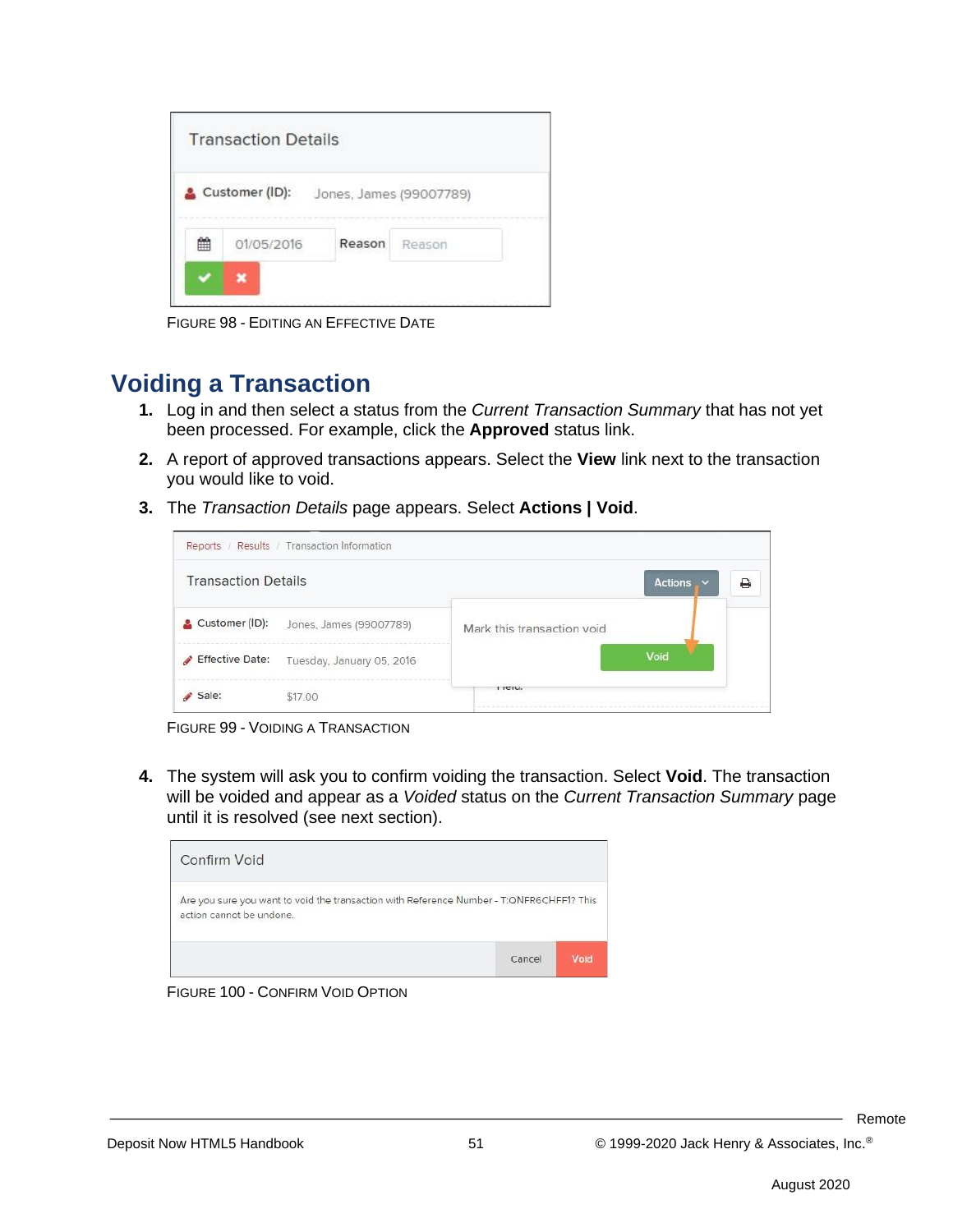|   | <b>Transaction Details</b> |        |                         |
|---|----------------------------|--------|-------------------------|
|   | Customer (ID):             |        | Jones, James (99007789) |
| 雦 | 01/05/2016                 | Reason | Reason                  |
|   |                            |        |                         |

FIGURE 98 - EDITING AN EFFECTIVE DATE

#### **Voiding a Transaction**

- **1.** Log in and then select a status from the *Current Transaction Summary* that has not yet been processed. For example, click the **Approved** status link.
- **2.** A report of approved transactions appears. Select the **View** link next to the transaction you would like to void.
- **3.** The *Transaction Details* page appears. Select **Actions | Void**.

| Reports / Results / Transaction Information              |                            |                |   |
|----------------------------------------------------------|----------------------------|----------------|---|
| <b>Transaction Details</b>                               |                            | <b>Actions</b> | ₽ |
| Customer (ID):<br>Jones, James (99007789)                | Mark this transaction void |                |   |
| <b>Effective Date:</b><br>Tuesday, January 05, 2016<br>A |                            | Void           |   |
| \$17.00<br>Sale:                                         | 1151                       |                |   |

FIGURE 99 - VOIDING A TRANSACTION

**4.** The system will ask you to confirm voiding the transaction. Select **Void**. The transaction will be voided and appear as a *Voided* status on the *Current Transaction Summary* page until it is resolved (see next section).



FIGURE 100 - CONFIRM VOID OPTION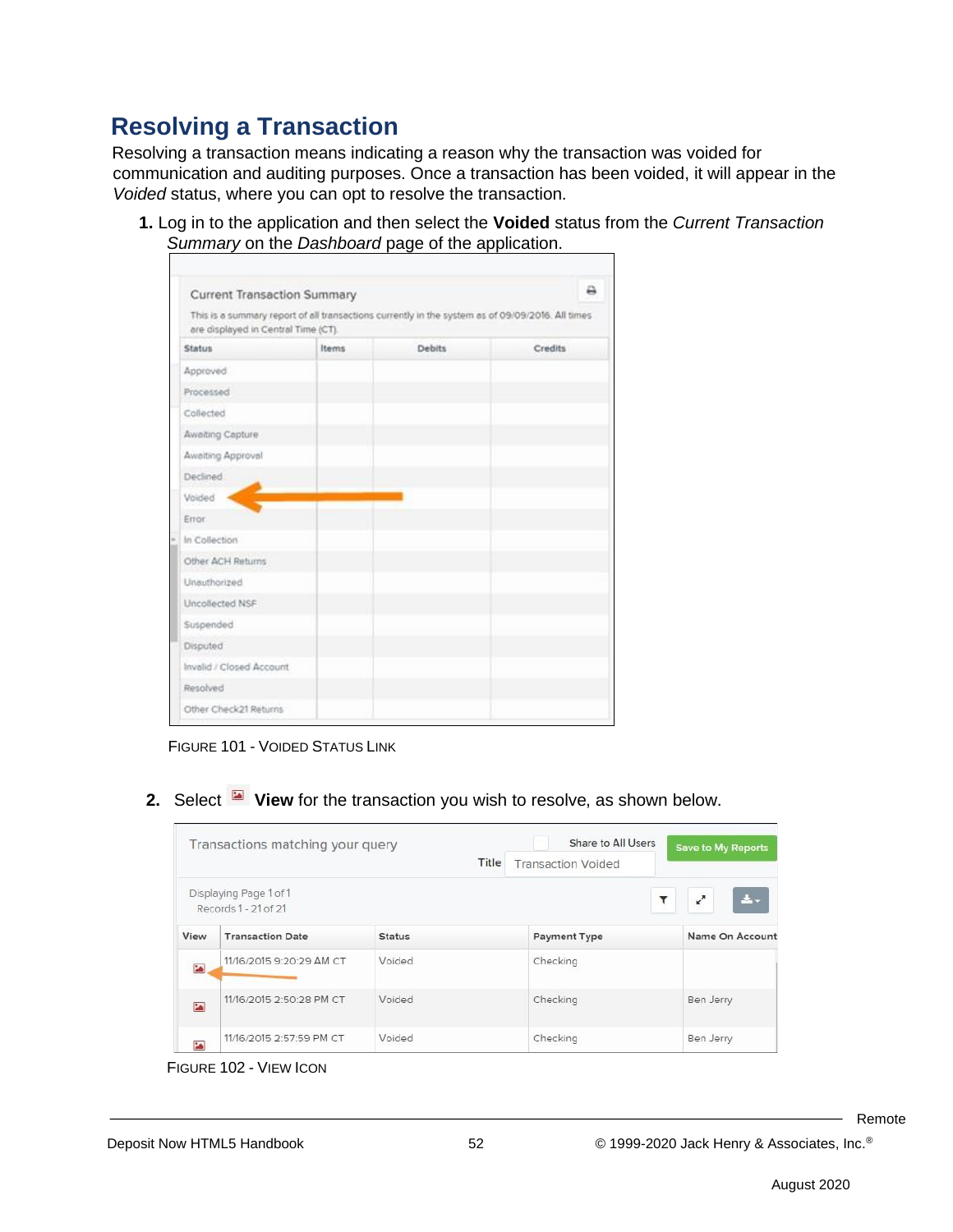### **Resolving a Transaction**

Resolving a transaction means indicating a reason why the transaction was voided for communication and auditing purposes. Once a transaction has been voided, it will appear in the *Voided* status, where you can opt to resolve the transaction.

**1.** Log in to the application and then select the **Voided** status from the *Current Transaction Summary* on the *Dashboard* page of the application.

| Current Transaction Summary<br>are displayed in Central Time (CT). |       | This is a summary report of all transactions currently in the system as of 09/09/2016. All times |         |
|--------------------------------------------------------------------|-------|--------------------------------------------------------------------------------------------------|---------|
| <b>Status</b>                                                      | Items | <b>Debits</b>                                                                                    | Credits |
| Approved                                                           |       |                                                                                                  |         |
| Processed                                                          |       |                                                                                                  |         |
| Collected                                                          |       |                                                                                                  |         |
| Awaiting Capture                                                   |       |                                                                                                  |         |
| Awaiting Approval                                                  |       |                                                                                                  |         |
| Declined.                                                          |       |                                                                                                  |         |
| Voided                                                             |       |                                                                                                  |         |
| <b>Error</b>                                                       |       |                                                                                                  |         |
| In Collection                                                      |       |                                                                                                  |         |
| Other ACH Returns                                                  |       |                                                                                                  |         |
| Unauthorized                                                       |       |                                                                                                  |         |
| Uncollected NSF                                                    |       |                                                                                                  |         |
| Suspended                                                          |       |                                                                                                  |         |
| Disputed                                                           |       |                                                                                                  |         |
| Invalid / Closed Account                                           |       |                                                                                                  |         |
| Resolved                                                           |       |                                                                                                  |         |
| Other Check21 Returns                                              |       |                                                                                                  |         |

FIGURE 101 - VOIDED STATUS LINK

**2.** Select **View** for the transaction you wish to resolve, as shown below.

|           | Transactions matching your query               |               | Share to All Users        | Save to My Reports                            |
|-----------|------------------------------------------------|---------------|---------------------------|-----------------------------------------------|
|           |                                                | Title         | <b>Transaction Voided</b> |                                               |
|           | Displaying Page 1 of 1<br>Records 1 - 21 of 21 |               | $\mathbf{r}$              | $\boldsymbol{\epsilon}^{\star}$<br>$\Delta$ - |
| View      | <b>Transaction Date</b>                        | <b>Status</b> | <b>Payment Type</b>       | Name On Account                               |
| 論         | 11/16/2015 9:20:29 AM CT                       | Voided        | Checking                  |                                               |
| <b>SA</b> | 11/16/2015 2:50:28 PM CT                       | Voided        | Checking                  | Ben Jerry                                     |
| <b>SA</b> | 11/16/2015 2:57:59 PM CT                       | Voided        | Checking                  | Ben Jerry                                     |

FIGURE 102 - VIEW ICON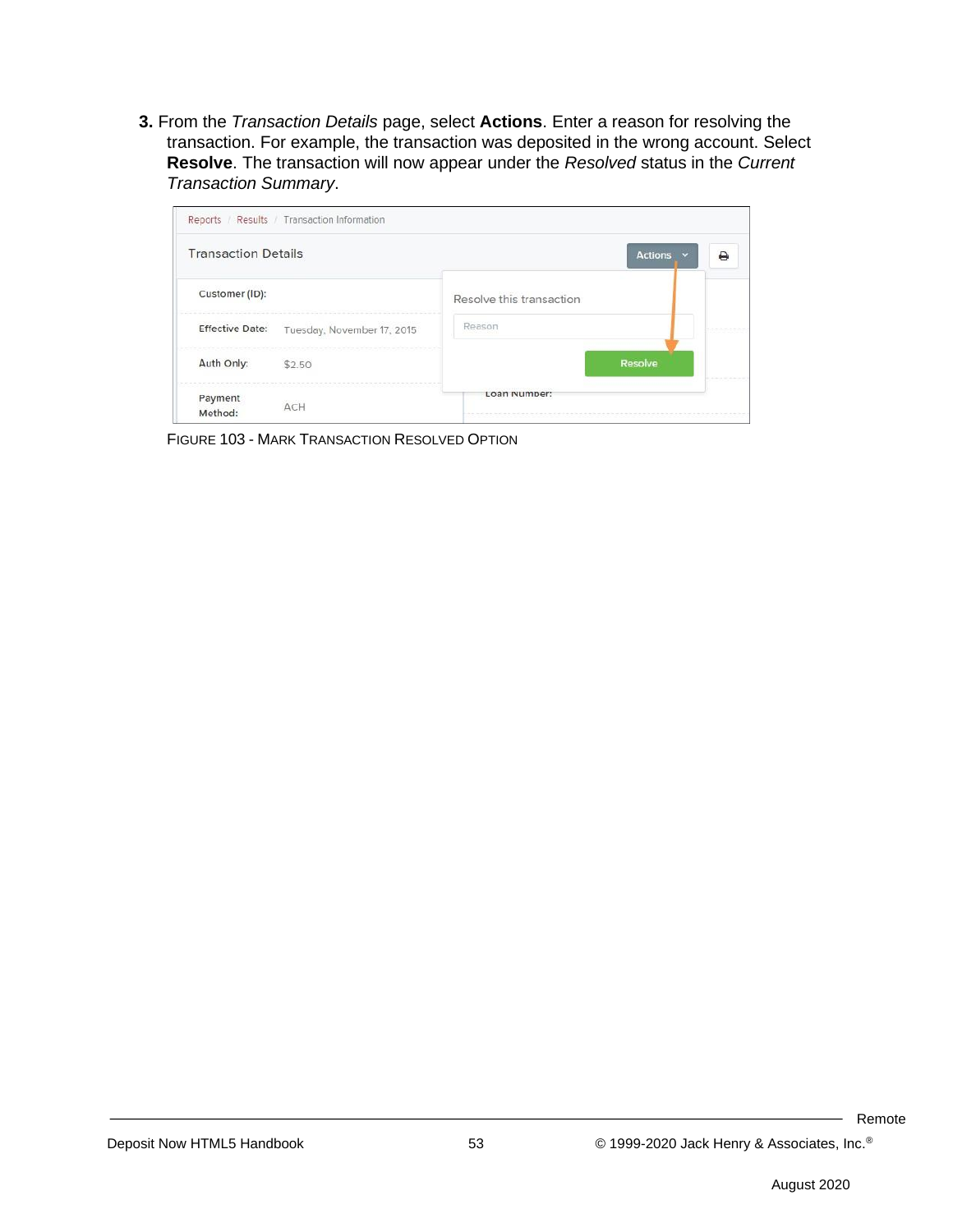**3.** From the *Transaction Details* page, select **Actions**. Enter a reason for resolving the transaction. For example, the transaction was deposited in the wrong account. Select **Resolve**. The transaction will now appear under the *Resolved* status in the *Current Transaction Summary*.



FIGURE 103 - MARK TRANSACTION RESOLVED OPTION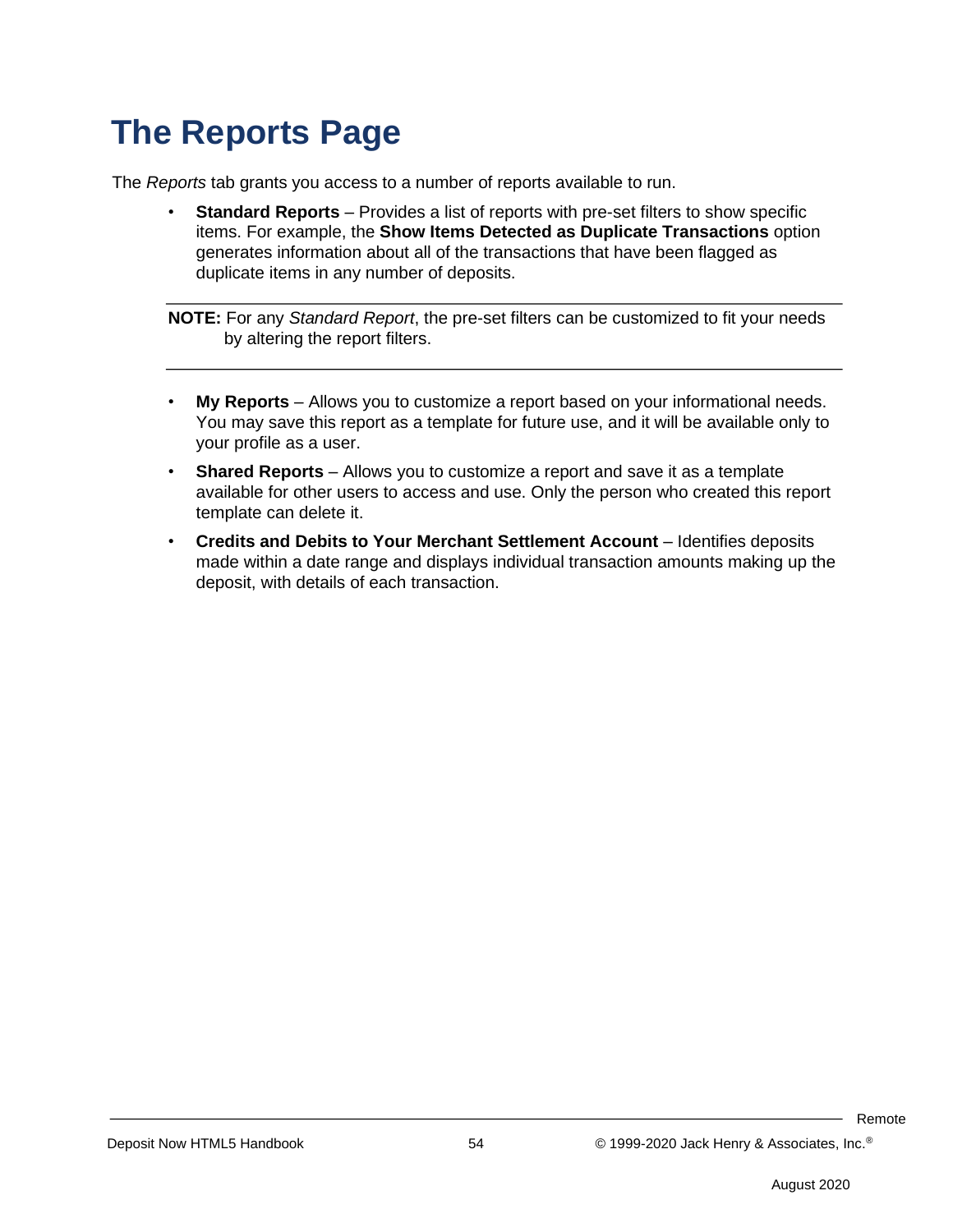## **The Reports Page**

The *Reports* tab grants you access to a number of reports available to run.

**Standard Reports** – Provides a list of reports with pre-set filters to show specific items. For example, the **Show Items Detected as Duplicate Transactions** option generates information about all of the transactions that have been flagged as duplicate items in any number of deposits.

**NOTE:** For any *Standard Report*, the pre-set filters can be customized to fit your needs by altering the report filters.

- **My Reports** Allows you to customize a report based on your informational needs. You may save this report as a template for future use, and it will be available only to your profile as a user.
- **Shared Reports** Allows you to customize a report and save it as a template available for other users to access and use. Only the person who created this report template can delete it.
- **Credits and Debits to Your Merchant Settlement Account** Identifies deposits made within a date range and displays individual transaction amounts making up the deposit, with details of each transaction.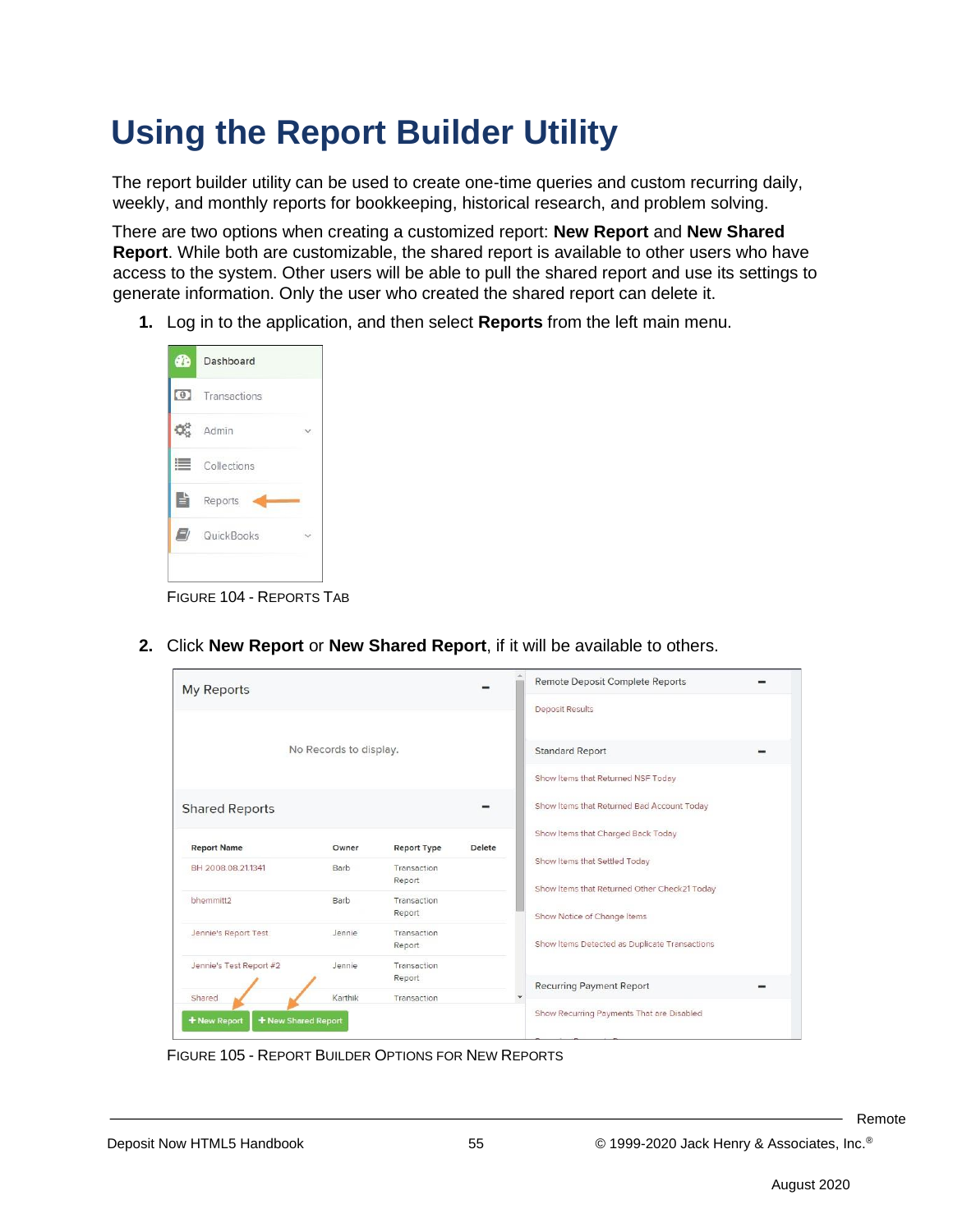## **Using the Report Builder Utility**

The report builder utility can be used to create one-time queries and custom recurring daily, weekly, and monthly reports for bookkeeping, historical research, and problem solving.

There are two options when creating a customized report: **New Report** and **New Shared Report**. While both are customizable, the shared report is available to other users who have access to the system. Other users will be able to pull the shared report and use its settings to generate information. Only the user who created the shared report can delete it.

**1.** Log in to the application, and then select **Reports** from the left main menu.



FIGURE 104 - REPORTS TAB

| <b>My Reports</b>                   |                        |                       |        | Remote Deposit Complete Reports                                             |
|-------------------------------------|------------------------|-----------------------|--------|-----------------------------------------------------------------------------|
|                                     |                        |                       |        | <b>Deposit Results</b>                                                      |
|                                     | No Records to display. |                       |        | <b>Standard Report</b>                                                      |
|                                     |                        |                       |        | Show Items that Returned NSF Today                                          |
| <b>Shared Reports</b>               |                        |                       |        | Show Items that Returned Bad Account Today                                  |
| <b>Report Name</b>                  | Owner                  | <b>Report Type</b>    | Delete | Show Items that Charged Back Today                                          |
| BH 2008.08.21.1341                  | Barb                   | Transaction<br>Report |        | Show Items that Settled Today                                               |
| bhemmitt2                           | Barb                   | Transaction<br>Report |        | Show Items that Returned Other Check21 Today<br>Show Notice of Change Items |
| Jennie's Report Test                | Jennie                 | Transaction<br>Report |        | Show Items Detected as Duplicate Transactions                               |
| Jennie's Test Report #2             | Jennie                 | Transaction<br>Report |        | <b>Recurring Payment Report</b>                                             |
| Shared                              | Karthik                | Transaction           |        |                                                                             |
| + New Shared Report<br>+ New Report |                        |                       |        | Show Recurring Payments That are Disabled                                   |

**2.** Click **New Report** or **New Shared Report**, if it will be available to others.

FIGURE 105 - REPORT BUILDER OPTIONS FOR NEW REPORTS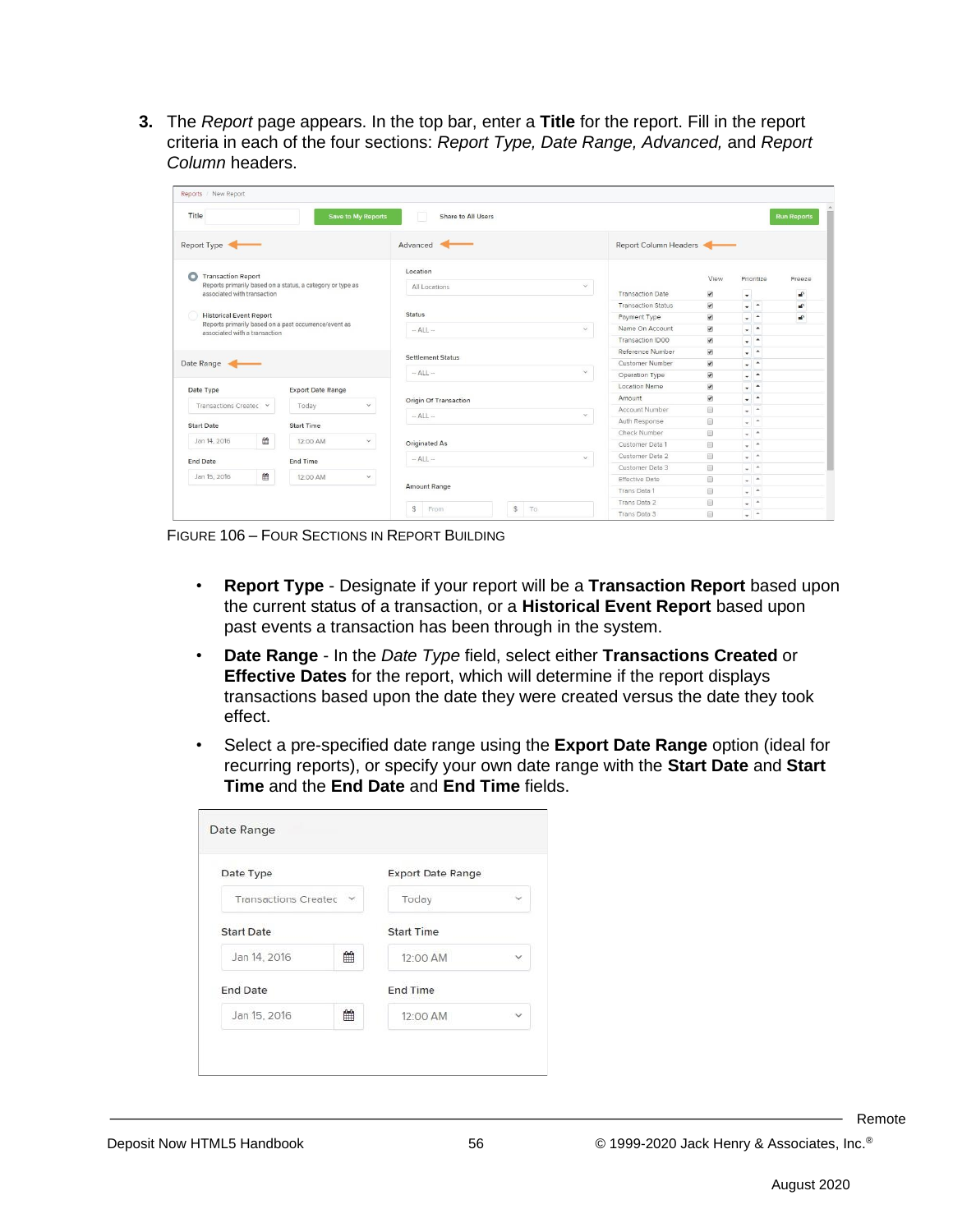**3.** The *Report* page appears. In the top bar, enter a **Title** for the report. Fill in the report criteria in each of the four sections: *Report Type, Date Range, Advanced,* and *Report Column* headers.

| Title                                                                                                                                                                                                                                  |   |                          | Save to My Reports            | Share to All Users<br><b>Run Reports</b> |                           |                          |                          |                               |  |
|----------------------------------------------------------------------------------------------------------------------------------------------------------------------------------------------------------------------------------------|---|--------------------------|-------------------------------|------------------------------------------|---------------------------|--------------------------|--------------------------|-------------------------------|--|
| Report Type                                                                                                                                                                                                                            |   |                          |                               | Advanced                                 |                           | Report Column Headers    |                          |                               |  |
| <b>Transaction Report</b><br>O                                                                                                                                                                                                         |   |                          |                               | Location                                 |                           |                          | View                     | Prioritize                    |  |
| Reports primarily based on a status, a category or type as<br>associated with transaction<br><b>Status</b><br><b>Historical Event Report</b><br>Reports primarily based on a past occurrence/event as<br>associated with a transaction |   |                          | $\checkmark$<br>All Locations |                                          |                           |                          |                          | Freeze                        |  |
|                                                                                                                                                                                                                                        |   |                          |                               |                                          | <b>Transaction Date</b>   | $\overline{\mathbf{v}}$  | ÷                        | a <sup>c</sup>                |  |
|                                                                                                                                                                                                                                        |   |                          |                               |                                          | <b>Transaction Status</b> | $\overline{\mathcal{L}}$ | $\sim$ $\sim$            | $\mathbf{r}$                  |  |
|                                                                                                                                                                                                                                        |   |                          |                               | Payment Type                             | $\overline{\mathcal{L}}$  | $\sim$ $\sim$            | £                        |                               |  |
|                                                                                                                                                                                                                                        |   |                          | $-$ ALL $-$<br>$\checkmark$   |                                          | Name On Account           | $\overline{\mathcal{L}}$ | $\sim$ $\sim$            |                               |  |
|                                                                                                                                                                                                                                        |   |                          |                               |                                          | Transaction ID00          | $\overline{\mathcal{L}}$ | $-$                      |                               |  |
|                                                                                                                                                                                                                                        |   |                          |                               | Settlement Status                        |                           | Reference Number         | $\overline{\mathbf{v}}$  | $\cdot$ $\cdot$               |  |
| Date Range                                                                                                                                                                                                                             |   |                          |                               |                                          |                           | Customer Number          | $\overline{\mathcal{L}}$ | $\sim$ $\sim$                 |  |
|                                                                                                                                                                                                                                        |   |                          |                               | $-$ ALL $-$<br>$\checkmark$              |                           | Operation Type           | $\overline{\mathbf{v}}$  | $\cdot$ $\cdot$               |  |
| Date Type                                                                                                                                                                                                                              |   | <b>Export Date Range</b> |                               |                                          |                           | Location Name            | $\overline{\mathcal{L}}$ | $\cdot$ $\cdot$               |  |
|                                                                                                                                                                                                                                        |   |                          |                               | Origin Of Transaction                    |                           | Amount                   | $\overline{\mathcal{L}}$ | $-1$                          |  |
| Transactions Createc v                                                                                                                                                                                                                 |   | Today                    | $\checkmark$                  | $-$ ALL $-$<br>$\checkmark$              |                           | Account Number           | 画                        | $-$ <sup>A</sup>              |  |
| <b>Start Date</b>                                                                                                                                                                                                                      |   | <b>Start Time</b>        |                               |                                          |                           | Auth Response            | 画                        | $-$ <sup><math>+</math></sup> |  |
|                                                                                                                                                                                                                                        |   |                          |                               |                                          |                           | Check Number             | 画                        | $-$                           |  |
| Jan 14, 2016                                                                                                                                                                                                                           | ₩ | 12:00 AM                 | $\checkmark$                  | Originated As                            |                           | Customer Data 1          | $\qquad \qquad \Box$     | $ -$                          |  |
| <b>End Date</b>                                                                                                                                                                                                                        |   | End Time                 |                               | $-$ ALL $-$<br>$\checkmark$              |                           | Customer Data 2          | $\Box$                   | $+$ $+$                       |  |
|                                                                                                                                                                                                                                        |   |                          |                               |                                          |                           | Customer Data 3          | $\Box$                   | $+$ $+$                       |  |
| Jan 15, 2016                                                                                                                                                                                                                           | 巤 | 12:00 AM                 | $\checkmark$                  |                                          |                           | <b>Effective Date</b>    | $\Box$                   | $+$ $+$                       |  |
|                                                                                                                                                                                                                                        |   |                          |                               | <b>Amount Range</b>                      |                           | Trans Data 1             | 画                        | $ -$                          |  |
|                                                                                                                                                                                                                                        |   |                          |                               |                                          |                           | Trans Data 2             | 画                        | $ -$                          |  |
|                                                                                                                                                                                                                                        |   |                          |                               | \$<br>s<br>From<br>To                    |                           | Trans Data 3             | <b>B</b>                 | $ -$                          |  |

FIGURE 106 – FOUR SECTIONS IN REPORT BUILDING

- **Report Type** Designate if your report will be a **Transaction Report** based upon the current status of a transaction, or a **Historical Event Report** based upon past events a transaction has been through in the system.
- **Date Range** In the *Date Type* field, select either **Transactions Created** or **Effective Dates** for the report, which will determine if the report displays transactions based upon the date they were created versus the date they took effect.
- Select a pre-specified date range using the **Export Date Range** option (ideal for recurring reports), or specify your own date range with the **Start Date** and **Start Time** and the **End Date** and **End Time** fields.

| Date Type              |   | <b>Export Date Range</b> |            |  |
|------------------------|---|--------------------------|------------|--|
| Transactions Createc v |   | Today                    |            |  |
| <b>Start Date</b>      |   | <b>Start Time</b>        |            |  |
| Jan 14, 2016           | 鱛 | 12:00 AM                 | v          |  |
| <b>End Date</b>        |   | End Time                 |            |  |
| Jan 15, 2016           | 鱛 | 12:00 AM                 | $\ddot{ }$ |  |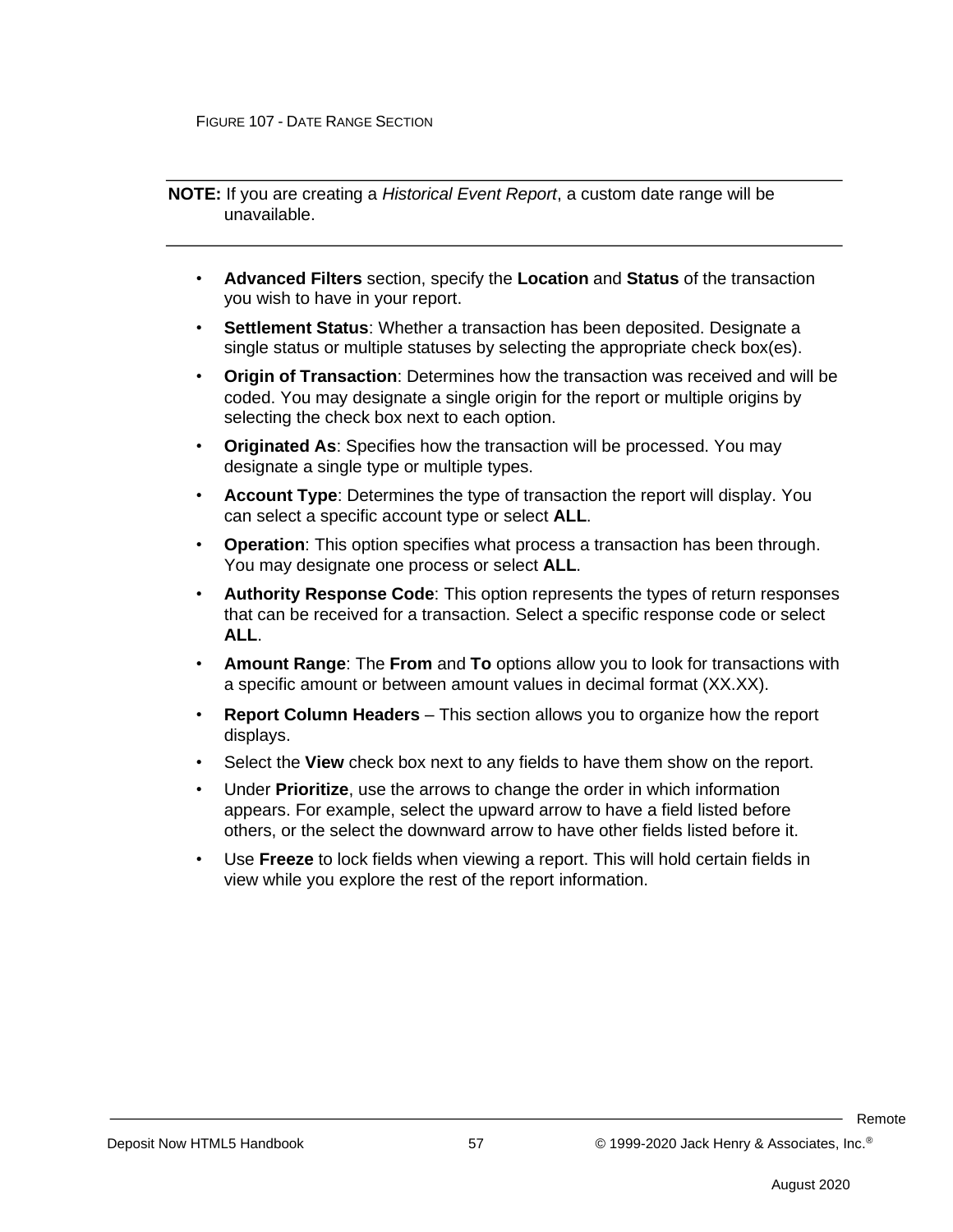**NOTE:** If you are creating a *Historical Event Report*, a custom date range will be unavailable.

- **Advanced Filters** section, specify the **Location** and **Status** of the transaction you wish to have in your report.
- **Settlement Status**: Whether a transaction has been deposited. Designate a single status or multiple statuses by selecting the appropriate check box(es).
- **Origin of Transaction**: Determines how the transaction was received and will be coded. You may designate a single origin for the report or multiple origins by selecting the check box next to each option.
- **Originated As**: Specifies how the transaction will be processed. You may designate a single type or multiple types.
- **Account Type**: Determines the type of transaction the report will display. You can select a specific account type or select **ALL**.
- **Operation**: This option specifies what process a transaction has been through. You may designate one process or select **ALL**.
- **Authority Response Code**: This option represents the types of return responses that can be received for a transaction. Select a specific response code or select **ALL**.
- **Amount Range**: The **From** and **To** options allow you to look for transactions with a specific amount or between amount values in decimal format (XX.XX).
- **Report Column Headers** This section allows you to organize how the report displays.
- Select the **View** check box next to any fields to have them show on the report.
- Under **Prioritize**, use the arrows to change the order in which information appears. For example, select the upward arrow to have a field listed before others, or the select the downward arrow to have other fields listed before it.
- Use **Freeze** to lock fields when viewing a report. This will hold certain fields in view while you explore the rest of the report information.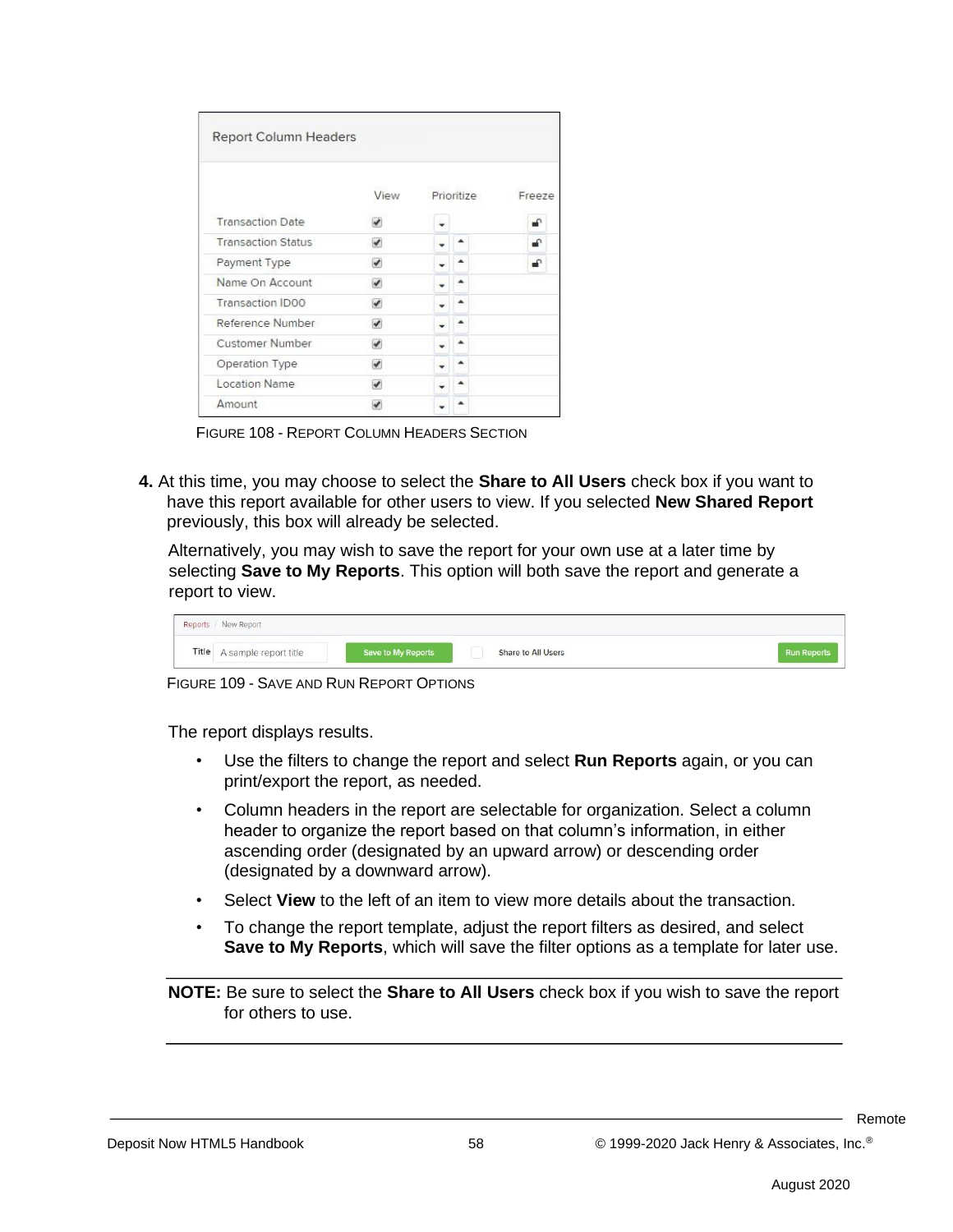| <b>Report Column Headers</b> |                          |            |  |        |  |
|------------------------------|--------------------------|------------|--|--------|--|
|                              | View                     | Prioritize |  | Freeze |  |
| <b>Transaction Date</b>      |                          |            |  | ₽      |  |
| <b>Transaction Status</b>    | ✔                        |            |  | ₽      |  |
| Payment Type                 | ✔                        |            |  | ⊋      |  |
| Name On Account              | $\overline{\mathcal{L}}$ |            |  |        |  |
| <b>Transaction IDOO</b>      | J                        |            |  |        |  |
| Reference Number             | $\overline{\mathscr{C}}$ |            |  |        |  |
| Customer Number              | ✔                        |            |  |        |  |
| Operation Type               | ✔                        |            |  |        |  |
| Location Name                | J                        |            |  |        |  |
| <b>Amount</b>                |                          |            |  |        |  |

FIGURE 108 - REPORT COLUMN HEADERS SECTION

**4.** At this time, you may choose to select the **Share to All Users** check box if you want to have this report available for other users to view. If you selected **New Shared Report**  previously, this box will already be selected.

Alternatively, you may wish to save the report for your own use at a later time by selecting **Save to My Reports**. This option will both save the report and generate a report to view.

| Reports / New Report        |                    |                    |                    |
|-----------------------------|--------------------|--------------------|--------------------|
| Title A sample report title | Save to My Reports | Share to All Users | <b>Run Reports</b> |

FIGURE 109 - SAVE AND RUN REPORT OPTIONS

The report displays results.

- Use the filters to change the report and select **Run Reports** again, or you can print/export the report, as needed.
- Column headers in the report are selectable for organization. Select a column header to organize the report based on that column's information, in either ascending order (designated by an upward arrow) or descending order (designated by a downward arrow).
- Select **View** to the left of an item to view more details about the transaction.
- To change the report template, adjust the report filters as desired, and select **Save to My Reports**, which will save the filter options as a template for later use.

**NOTE:** Be sure to select the **Share to All Users** check box if you wish to save the report for others to use.